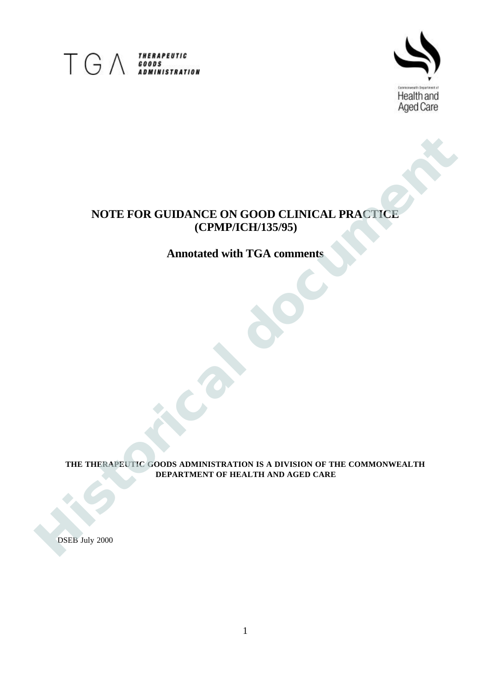



## **NOTE FOR GUIDANCE ON GOOD CLINICAL PRACTICE (CPMP/ICH/135/95)** NOTE FOR GUIDANCE ON GOOD CLINICAL PRACTICE<br>
(CPMP/ICH/135795)<br>
Annotated with TGA comments<br>
THE THERAPEUTIC GOODS ADMINISTRATION IS A DIVISION OF THE COMMONWEALTH<br>
DEPARTMENT OF HEALTH AND AGED CARE

### **Annotated with TGA comments**

**THE THERAPEUTIC GOODS ADMINISTRATION IS A DIVISION OF THE COMMONWEALTH DEPARTMENT OF HEALTH AND AGED CARE**

DSEB July 2000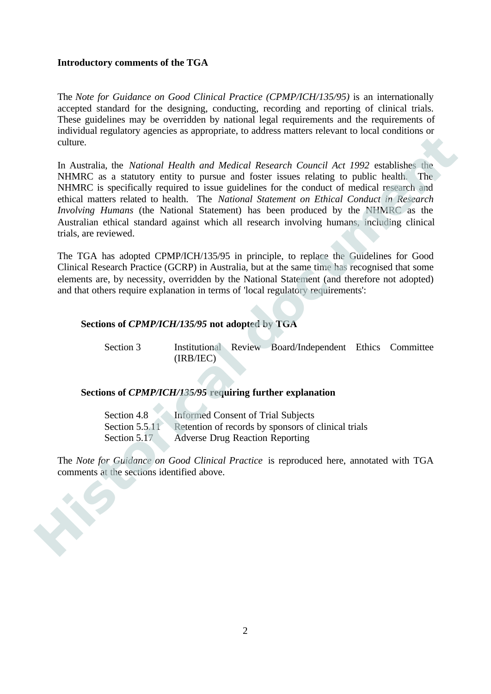### **Introductory comments of the TGA**

The *Note for Guidance on Good Clinical Practice (CPMP/ICH/135/95)* is an internationally accepted standard for the designing, conducting, recording and reporting of clinical trials. These guidelines may be overridden by national legal requirements and the requirements of individual regulatory agencies as appropriate, to address matters relevant to local conditions or culture.

In Australia, the *National Health and Medical Research Council Act 1992* establishes the NHMRC as a statutory entity to pursue and foster issues relating to public health. The NHMRC is specifically required to issue guidelines for the conduct of medical research and ethical matters related to health. The *National Statement on Ethical Conduct in Research Involving Humans* (the National Statement) has been produced by the NHMRC as the Australian ethical standard against which all research involving humans, including clinical trials, are reviewed. calum.<br>
In Australia, the *National Health unal Medical Research Courcil Act 1992* establishes the<br>
IMMRC as a statutory entity to pursue and foster issues relating to public health. The<br>
NHMRC as perficulty required to i

The TGA has adopted CPMP/ICH/135/95 in principle, to replace the Guidelines for Good Clinical Research Practice (GCRP) in Australia, but at the same time has recognised that some elements are, by necessity, overridden by the National Statement (and therefore not adopted) and that others require explanation in terms of 'local regulatory requirements':

### **Sections of** *CPMP/ICH/135/95* **not adopted by TGA**

Section 3 Institutional Review Board/Independent Ethics Committee (IRB/IEC)

### **Sections of** *CPMP/ICH/135/95* **requiring further explanation**

| Section 4.8      | Informed Consent of Trial Subjects                  |
|------------------|-----------------------------------------------------|
| Section $5.5.11$ | Retention of records by sponsors of clinical trials |
| Section 5.17     | <b>Adverse Drug Reaction Reporting</b>              |

The *Note for Guidance on Good Clinical Practice* is reproduced here, annotated with TGA comments at the sections identified above.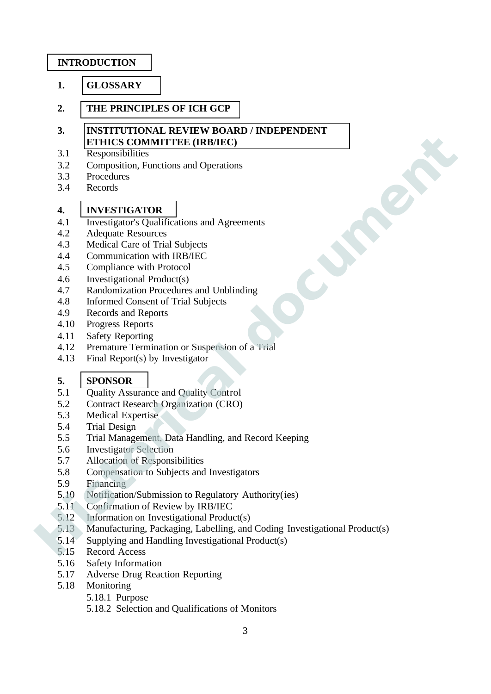### **[INTRODUCTION](#page-5-0)**

**1. [GLOSSARY](#page-5-0)**

### **2. [THE PRINCIPLES OF ICH GCP](#page-13-0)**

### **3. INSTITUTIONAL REVIEW BOARD / INDEPENDENT ETHICS COMMITTEE (IRB/IEC)** Historical document

- 3.1 Responsibilities
- 3.2 Composition, Functions and Operations
- 3.3 Procedures
- 3.4 Records

### **4. INVESTIGATOR**

- 4.1 Investigator's Qualifications and Agreements
- 4.2 Adequate Resources
- 4.3 Medical Care of Trial Subjects
- 4.4 Communication with IRB/IEC
- 4.5 Compliance with Protocol
- 4.6 Investigational Product(s)
- 4.7 Randomization Procedures and Unblinding
- 4.8 Informed Consent of Trial Subjects
- 4.9 Records and Reports
- 4.10 Progress Reports
- 4.11 Safety Reporting
- 4.12 Premature Termination or Suspension of a Trial
- 4.13 Final Report(s) by Investigator

### **5. SPONSOR**

- 5.1 Quality Assurance and Quality Control
- 5.2 Contract Research Organization (CRO)
- 5.3 Medical Expertise
- 5.4 Trial Design
- 5.5 Trial Management, Data Handling, and Record Keeping
- 5.6 Investigator Selection
- 5.7 Allocation of Responsibilities
- 5.8 Compensation to Subjects and Investigators
- 5.9 Financing
- 5.10 Notification/Submission to Regulatory Authority(ies)
- 5.11 Confirmation of Review by IRB/IEC
- 5.12 Information on Investigational Product(s)
- 5.13 Manufacturing, Packaging, Labelling, and Coding Investigational Product(s)
- 5.14 Supplying and Handling Investigational Product(s)
- 5.15 Record Access
- 5.16 Safety Information
- 5.17 Adverse Drug Reaction Reporting
- 5.18 Monitoring
	- 5.18.1 Purpose
	- 5.18.2 Selection and Qualifications of Monitors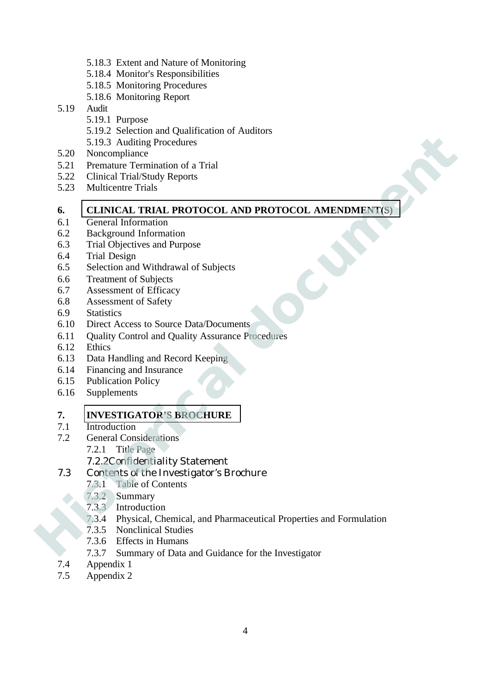- 5.18.3 Extent and Nature of Monitoring
- 5.18.4 Monitor's Responsibilities
- 5.18.5 Monitoring Procedures
- 5.18.6 Monitoring Report
- 5.19 Audit
	- 5.19.1 Purpose
	- 5.19.2 Selection and Qualification of Auditors
	- 5.19.3 Auditing Procedures
- 5.20 Noncompliance
- 5.21 Premature Termination of a Trial
- 5.22 Clinical Trial/Study Reports
- 5.23 Multicentre Trials

# **6. CLINICAL TRIAL PROTOCOL AND PROTOCOL AMENDMENT(S)** 5.20 3. Auditing Procedures<br>
19.3 Noncompliance<br>
2.21 Pienauare Termination of a Trial<br>
2.22 Clin[ic](#page-37-0)al Trial/Study Reports<br>
4.5.22 Clinical Trial/Study Reports<br>
6. CLINICAL TRIAL PROTOCOL AND PROTOCOL AMENDMENT(5)<br>
6. CLIN

- 6.1 General Information
- 6.2 Background Information
- 6.3 Trial Objectives and Purpose
- 6.4 Trial Design
- 6.5 Selection and Withdrawal of Subjects
- 6.6 Treatment of Subjects
- 6.7 Assessment of Efficacy
- 6.8 Assessment of Safety
- 6.9 Statistics
- 6.10 Direct Access to Source Data/Documents
- 6.11 Quality Control and Quality Assurance Procedures
- 6.12 Ethics
- 6.13 Data Handling and Record Keeping
- 6.14 Financing and Insurance
- 6.15 Publication Policy
- 6.16 Supplements

### **7. INVESTIGATOR'S BROCHURE**

- 7.1 Introduction
- 7.2 General Considerations
	- 7.2.1 Title Page
	- 7.2.2Confidentiality Statement

### 7.3 Contents of the Investigator's Brochure

- 7.3.1 Table of Contents
- 7.3.2 Summary
- 7.3.3 Introduction
- 7.3.4 Physical, Chemical, and Pharmaceutical Properties and Formulation
- 7.3.5 Nonclinical Studies
- 7.3.6 Effects in Humans
- 7.3.7 Summary of Data and Guidance for the Investigator
- 7.4 Appendix 1
- 7.5 Appendix 2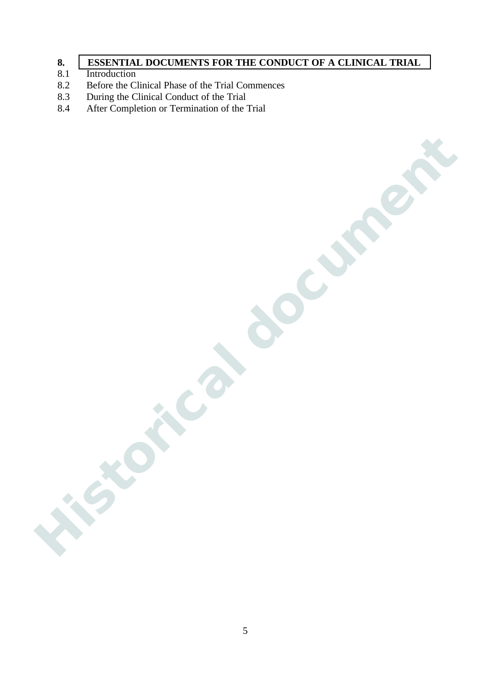### **8. [ESSENTIAL DOCUMENTS FOR THE CONDUCT OF A CLINICAL TRIAL](#page-43-0)**

Historical document

- 8.1 Introduction
- 8.2 Before the Clinical Phase of the Trial Commences
- 8.3 During the Clinical Conduct of the Trial
- 8.4 After Completion or Termination of the Trial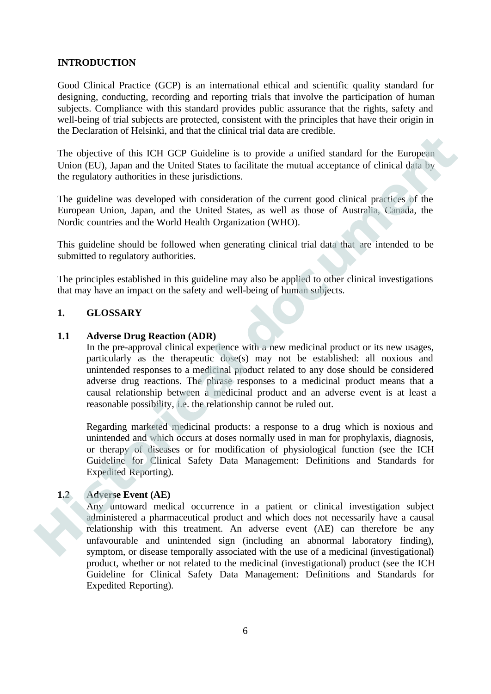### <span id="page-5-0"></span>**INTRODUCTION**

Good Clinical Practice (GCP) is an international ethical and scientific quality standard for designing, conducting, recording and reporting trials that involve the participation of human subjects. Compliance with this standard provides public assurance that the rights, safety and well-being of trial subjects are protected, consistent with the principles that have their origin in the Declaration of Helsinki, and that the clinical trial data are credible.

The objective of this ICH GCP Guideline is to provide a unified standard for the European Union (EU), Japan and the United States to facilitate the mutual acceptance of clinical data by the regulatory authorities in these jurisdictions.

The guideline was developed with consideration of the current good clinical practices of the European Union, Japan, and the United States, as well as those of Australia, Canada, the Nordic countries and the World Health Organization (WHO).

This guideline should be followed when generating clinical trial data that are intended to be submitted to regulatory authorities.

The principles established in this guideline may also be applied to other clinical investigations that may have an impact on the safety and well-being of human subjects.

### **1. GLOSSARY**

### **1.1 Adverse Drug Reaction (ADR)**

In the pre-approval clinical experience with a new medicinal product or its new usages, particularly as the therapeutic dose(s) may not be established: all noxious and unintended responses to a medicinal product related to any dose should be considered adverse drug reactions. The phrase responses to a medicinal product means that a causal relationship between a medicinal product and an adverse event is at least a reasonable possibility, i.e. the relationship cannot be ruled out. The objective of this ICH GCP Guideline is to provide a unified standard for the European<br>Union (EU), Japan and the United Stans to facilitate the mutual acceptance of clinical data by<br>the regulatory authorities in these

Regarding marketed medicinal products: a response to a drug which is noxious and unintended and which occurs at doses normally used in man for prophylaxis, diagnosis, or therapy of diseases or for modification of physiological function (see the ICH Guideline for Clinical Safety Data Management: Definitions and Standards for Expedited Reporting).

### **1.2 Adverse Event (AE)**

Any untoward medical occurrence in a patient or clinical investigation subject administered a pharmaceutical product and which does not necessarily have a causal relationship with this treatment. An adverse event (AE) can therefore be any unfavourable and unintended sign (including an abnormal laboratory finding), symptom, or disease temporally associated with the use of a medicinal (investigational) product, whether or not related to the medicinal (investigational) product (see the ICH Guideline for Clinical Safety Data Management: Definitions and Standards for Expedited Reporting).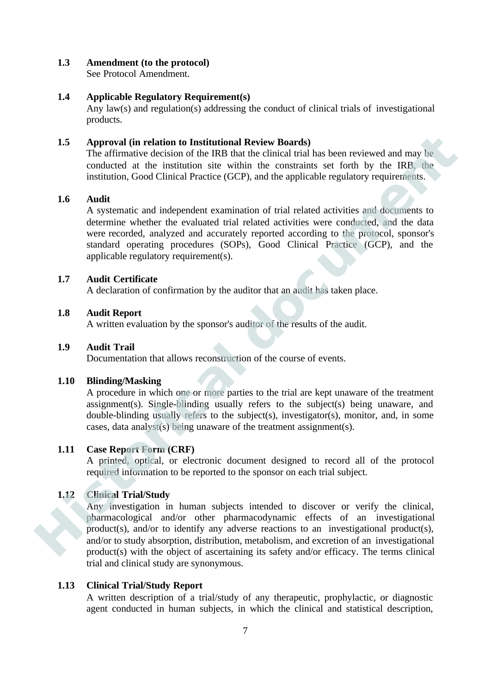### **1.3 Amendment (to the protocol)**

See Protocol Amendment.

### **1.4 Applicable Regulatory Requirement(s)**

Any law(s) and regulation(s) addressing the conduct of clinical trials of investigational products.

### **1.5 Approval (in relation to Institutional Review Boards)**

The affirmative decision of the IRB that the clinical trial has been reviewed and may be conducted at the institution site within the constraints set forth by the IRB, the institution, Good Clinical Practice (GCP), and the applicable regulatory requirements.

### **1.6 Audit**

A systematic and independent examination of trial related activities and documents to determine whether the evaluated trial related activities were conducted, and the data were recorded, analyzed and accurately reported according to the protocol, sponsor's standard operating procedures (SOPs), Good Clinical Practice (GCP), and the applicable regulatory requirement(s). 1.5 Approval (in relation to Institutional Review Barelo) is the procedure of the control of the education and the control at the simulation and the control of the RB and the simulation and the institution. Good Clinical P

### **1.7 Audit Certificate**

A declaration of confirmation by the auditor that an audit has taken place.

### **1.8 Audit Report**

A written evaluation by the sponsor's auditor of the results of the audit.

### **1.9 Audit Trail**

Documentation that allows reconstruction of the course of events.

### **1.10 Blinding/Masking**

A procedure in which one or more parties to the trial are kept unaware of the treatment assignment(s). Single-blinding usually refers to the subject(s) being unaware, and double-blinding usually refers to the subject(s), investigator(s), monitor, and, in some cases, data analyst(s) being unaware of the treatment assignment(s).

### **1.11 Case Report Form (CRF)**

A printed, optical, or electronic document designed to record all of the protocol required information to be reported to the sponsor on each trial subject.

### **1.12 Clinical Trial/Study**

Any investigation in human subjects intended to discover or verify the clinical, pharmacological and/or other pharmacodynamic effects of an investigational product(s), and/or to identify any adverse reactions to an investigational product(s), and/or to study absorption, distribution, metabolism, and excretion of an investigational product(s) with the object of ascertaining its safety and/or efficacy. The terms clinical trial and clinical study are synonymous.

### **1.13 Clinical Trial/Study Report**

A written description of a trial/study of any therapeutic, prophylactic, or diagnostic agent conducted in human subjects, in which the clinical and statistical description,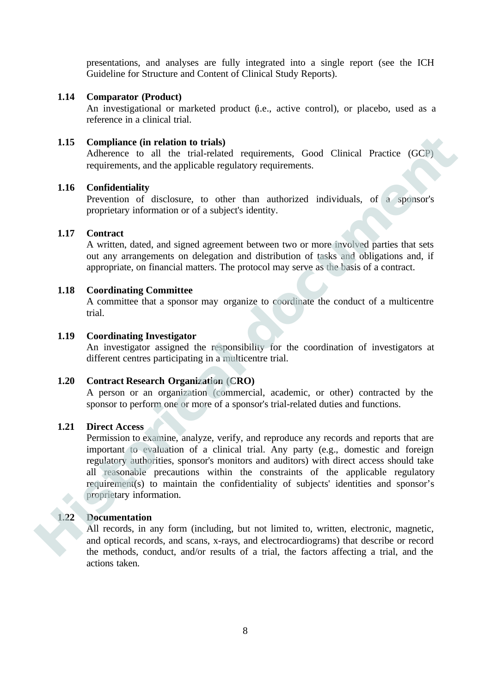presentations, and analyses are fully integrated into a single report (see the ICH Guideline for Structure and Content of Clinical Study Reports).

### **1.14 Comparator (Product)**

An investigational or marketed product (i.e., active control), or placebo, used as a reference in a clinical trial.

### **1.15 Compliance (in relation to trials)**

Adherence to all the trial-related requirements, Good Clinical Practice (GCP) requirements, and the applicable regulatory requirements.

### **1.16 Confidentiality**

Prevention of disclosure, to other than authorized individuals, of a sponsor's proprietary information or of a subject's identity.

### **1.17 Contract**

A written, dated, and signed agreement between two or more involved parties that sets out any arrangements on delegation and distribution of tasks and obligations and, if appropriate, on financial matters. The protocol may serve as the basis of a contract.

### **1.18 Coordinating Committee**

A committee that a sponsor may organize to coordinate the conduct of a multicentre trial.

### **1.19 Coordinating Investigator**

An investigator assigned the responsibility for the coordination of investigators at different centres participating in a multicentre trial.

### **1.20 Contract Research Organization (CRO)**

A person or an organization (commercial, academic, or other) contracted by the sponsor to perform one or more of a sponsor's trial-related duties and functions.

### **1.21 Direct Access**

Permission to examine, analyze, verify, and reproduce any records and reports that are important to evaluation of a clinical trial. Any party (e.g., domestic and foreign regulatory authorities, sponsor's monitors and auditors) with direct access should take all reasonable precautions within the constraints of the applicable regulatory requirement(s) to maintain the confidentiality of subjects' identities and sponsor's proprietary information. 1.15 Compliance (in relation to trials)<br>
Adheennee to all the trial-related requirements, Good Clinical Practice (GCP)<br>
requirements, and the applicable regulatory requirements.<br>
1.16 Confidentiality<br>
Prevention of disclo

### **1.22 Documentation**

All records, in any form (including, but not limited to, written, electronic, magnetic, and optical records, and scans, x-rays, and electrocardiograms) that describe or record the methods, conduct, and/or results of a trial, the factors affecting a trial, and the actions taken.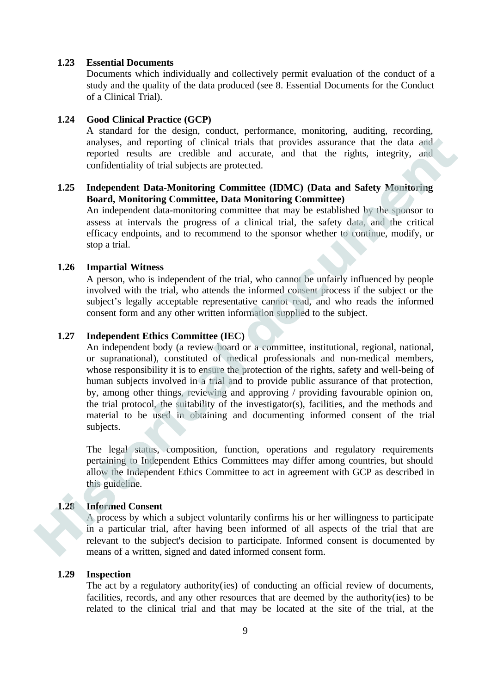### **1.23 Essential Documents**

Documents which individually and collectively permit evaluation of the conduct of a study and the quality of the data produced (see 8. Essential Documents for the Conduct of a Clinical Trial).

### **1.24 Good Clinical Practice (GCP)**

A standard for the design, conduct, performance, monitoring, auditing, recording, analyses, and reporting of clinical trials that provides assurance that the data and reported results are credible and accurate, and that the rights, integrity, and confidentiality of trial subjects are protected.

### **1.25 Independent Data-Monitoring Committee (IDMC) (Data and Safety Monitoring Board, Monitoring Committee, Data Monitoring Committee)**

An independent data-monitoring committee that may be established by the sponsor to assess at intervals the progress of a clinical trial, the safety data, and the critical efficacy endpoints, and to recommend to the sponsor whether to continue, modify, or stop a trial.

### **1.26 Impartial Witness**

A person, who is independent of the trial, who cannot be unfairly influenced by people involved with the trial, who attends the informed consent process if the subject or the subject's legally acceptable representative cannot read, and who reads the informed consent form and any other written information supplied to the subject.

### **1.27 Independent Ethics Committee (IEC)**

An independent body (a review board or a committee, institutional, regional, national, or supranational), constituted of medical professionals and non-medical members, whose responsibility it is to ensure the protection of the rights, safety and well-being of human subjects involved in a trial and to provide public assurance of that protection, by, among other things, reviewing and approving / providing favourable opinion on, the trial protocol, the suitability of the investigator(s), facilities, and the methods and material to be used in obtaining and documenting informed consent of the trial subjects. analyses, and reporting of clinical trial that provides assume that the data and<br>energy and reported results are credible and accurate, and that the rights, and<br>confidentiality of trial subjects are protected.<br>
1.25 Indep

The legal status, composition, function, operations and regulatory requirements pertaining to Independent Ethics Committees may differ among countries, but should allow the Independent Ethics Committee to act in agreement with GCP as described in this guideline.

### **1.28 Informed Consent**

A process by which a subject voluntarily confirms his or her willingness to participate in a particular trial, after having been informed of all aspects of the trial that are relevant to the subject's decision to participate. Informed consent is documented by means of a written, signed and dated informed consent form.

### **1.29 Inspection**

The act by a regulatory authority(ies) of conducting an official review of documents, facilities, records, and any other resources that are deemed by the authority(ies) to be related to the clinical trial and that may be located at the site of the trial, at the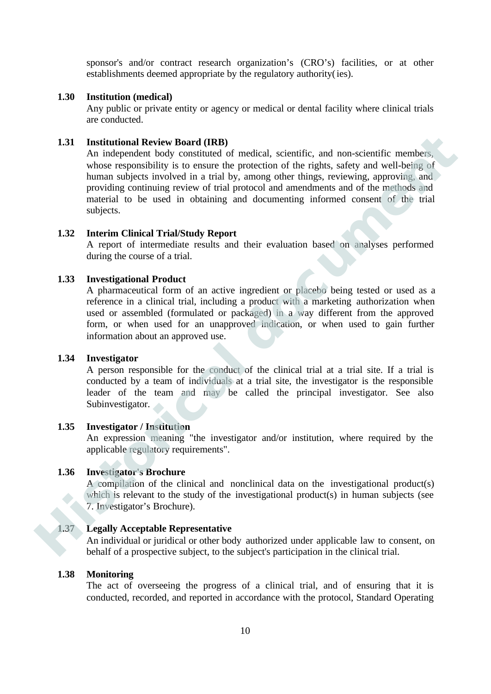sponsor's and/or contract research organization's (CRO's) facilities, or at other establishments deemed appropriate by the regulatory authority(ies).

### **1.30 Institution (medical)**

Any public or private entity or agency or medical or dental facility where clinical trials are conducted.

### **1.31 Institutional Review Board (IRB)**

An independent body constituted of medical, scientific, and non-scientific members, whose responsibility is to ensure the protection of the rights, safety and well-being of human subjects involved in a trial by, among other things, reviewing, approving, and providing continuing review of trial protocol and amendments and of the methods and material to be used in obtaining and documenting informed consent of the trial subjects. 1.31 Institutional Review Board (IRB)<br>
Institutional Review Board (IRB) and independent boy constituted of medical, scientific, and non-scientific members,<br>
whose exponsibility is to easue the protection of the rights, sa

### **1.32 Interim Clinical Trial/Study Report**

A report of intermediate results and their evaluation based on analyses performed during the course of a trial.

### **1.33 Investigational Product**

A pharmaceutical form of an active ingredient or placebo being tested or used as a reference in a clinical trial, including a product with a marketing authorization when used or assembled (formulated or packaged) in a way different from the approved form, or when used for an unapproved indication, or when used to gain further information about an approved use.

### **1.34 Investigator**

A person responsible for the conduct of the clinical trial at a trial site. If a trial is conducted by a team of individuals at a trial site, the investigator is the responsible leader of the team and may be called the principal investigator. See also Subinvestigator.

### **1.35 Investigator / Institution**

An expression meaning "the investigator and/or institution, where required by the applicable regulatory requirements".

### **1.36 Investigator's Brochure**

A compilation of the clinical and nonclinical data on the investigational product(s) which is relevant to the study of the investigational product(s) in human subjects (see 7. Investigator's Brochure).

### **1.37 Legally Acceptable Representative**

An individual or juridical or other body authorized under applicable law to consent, on behalf of a prospective subject, to the subject's participation in the clinical trial.

### **1.38 Monitoring**

The act of overseeing the progress of a clinical trial, and of ensuring that it is conducted, recorded, and reported in accordance with the protocol, Standard Operating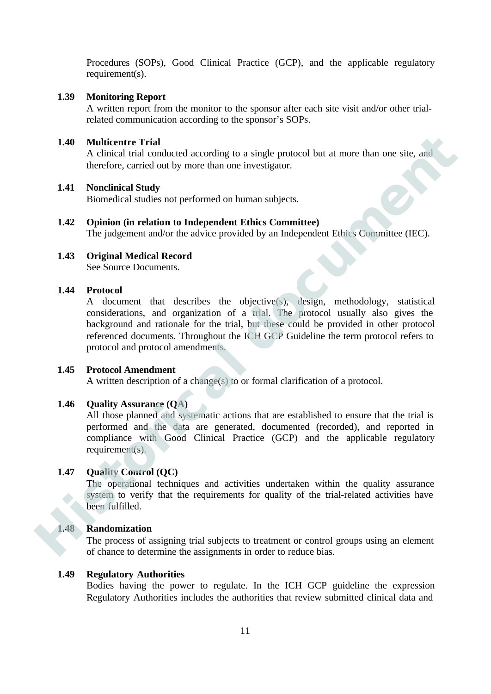Procedures (SOPs), Good Clinical Practice (GCP), and the applicable regulatory requirement(s).

### **1.39 Monitoring Report**

A written report from the monitor to the sponsor after each site visit and/or other trialrelated communication according to the sponsor's SOPs.

### **1.40 Multicentre Trial**

A clinical trial conducted according to a single protocol but at more than one site, and therefore, carried out by more than one investigator.

### **1.41 Nonclinical Study**

Biomedical studies not performed on human subjects.

**1.42 Opinion (in relation to Independent Ethics Committee)** The judgement and/or the advice provided by an Independent Ethics Committee (IEC).

### **1.43 Original Medical Record**

See Source Documents.

### **1.44 Protocol**

A document that describes the objective(s), design, methodology, statistical considerations, and organization of a trial. The protocol usually also gives the background and rationale for the trial, but these could be provided in other protocol referenced documents. Throughout the ICH GCP Guideline the term protocol refers to protocol and protocol amendments. 1.40 Multiertre Trial bandwell are oscillage to a single protocol but at more than one site, and<br>therefore, carried out by nore than one investigator.<br>
1.41 Nonedinkial Study store than one investigator.<br>
1.42 Optiman fin

### **1.45 Protocol Amendment**

A written description of a change(s) to or formal clarification of a protocol.

### **1.46 Quality Assurance (QA)**

All those planned and systematic actions that are established to ensure that the trial is performed and the data are generated, documented (recorded), and reported in compliance with Good Clinical Practice (GCP) and the applicable regulatory requirement(s).

### **1.47 Quality Control (QC)**

The operational techniques and activities undertaken within the quality assurance system to verify that the requirements for quality of the trial-related activities have been fulfilled.

### **1.48 Randomization**

The process of assigning trial subjects to treatment or control groups using an element of chance to determine the assignments in order to reduce bias.

### **1.49 Regulatory Authorities**

Bodies having the power to regulate. In the ICH GCP guideline the expression Regulatory Authorities includes the authorities that review submitted clinical data and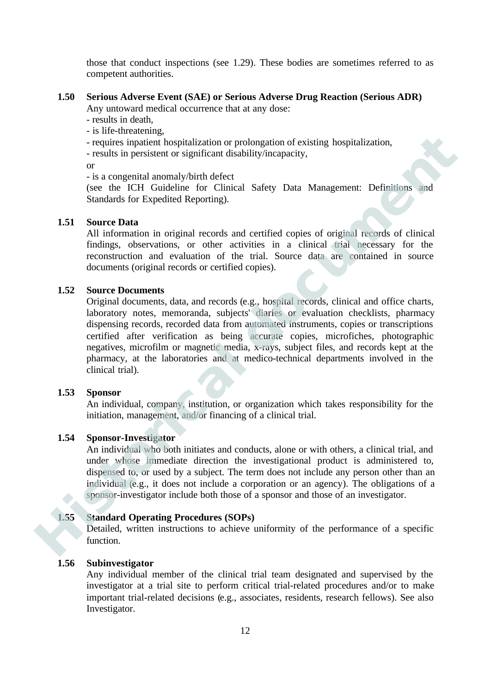those that conduct inspections (see 1.29). These bodies are sometimes referred to as competent authorities.

### **1.50 Serious Adverse Event (SAE) or Serious Adverse Drug Reaction (Serious ADR)**

Any untoward medical occurrence that at any dose:

- results in death,
- is life-threatening,
- requires inpatient hospitalization or prolongation of existing hospitalization,
- results in persistent or significant disability/incapacity,

or

- is a congenital anomaly/birth defect

(see the ICH Guideline for Clinical Safety Data Management: Definitions and Standards for Expedited Reporting).

### **1.51 Source Data**

All information in original records and certified copies of original records of clinical findings, observations, or other activities in a clinical trial necessary for the reconstruction and evaluation of the trial. Source data are contained in source documents (original records or certified copies).

### **1.52 Source Documents**

Original documents, data, and records (e.g., hospital records, clinical and office charts, laboratory notes, memoranda, subjects' diaries or evaluation checklists, pharmacy dispensing records, recorded data from automated instruments, copies or transcriptions certified after verification as being accurate copies, microfiches, photographic negatives, microfilm or magnetic media, x-rays, subject files, and records kept at the pharmacy, at the laboratories and at medico-technical departments involved in the clinical trial). - requires inputient hospitalization or prolongation of existing bospitalization,<br>
- results in peristent or significant disability<br>
faces the CM Society Data Management: Definitions and<br>
- is a congenital anomaly<br>brint d

### **1.53 Sponsor**

An individual, company, institution, or organization which takes responsibility for the initiation, management, and/or financing of a clinical trial.

### **1.54 Sponsor-Investigator**

An individual who both initiates and conducts, alone or with others, a clinical trial, and under whose immediate direction the investigational product is administered to, dispensed to, or used by a subject. The term does not include any person other than an individual (e.g., it does not include a corporation or an agency). The obligations of a sponsor-investigator include both those of a sponsor and those of an investigator.

### **1.55 Standard Operating Procedures (SOPs)**

Detailed, written instructions to achieve uniformity of the performance of a specific function.

### **1.56 Subinvestigator**

Any individual member of the clinical trial team designated and supervised by the investigator at a trial site to perform critical trial-related procedures and/or to make important trial-related decisions (e.g., associates, residents, research fellows). See also Investigator.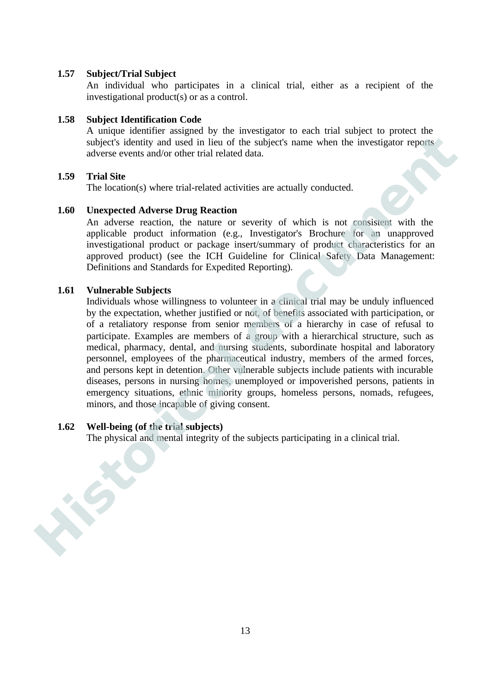### **1.57 Subject/Trial Subject**

An individual who participates in a clinical trial, either as a recipient of the investigational product(s) or as a control.

### **1.58 Subject Identification Code**

A unique identifier assigned by the investigator to each trial subject to protect the subject's identity and used in lieu of the subject's name when the investigator reports adverse events and/or other trial related data.

### **1.59 Trial Site**

The location(s) where trial-related activities are actually conducted.

### **1.60 Unexpected Adverse Drug Reaction**

An adverse reaction, the nature or severity of which is not consistent with the applicable product information (e.g., Investigator's Brochure for an unapproved investigational product or package insert/summary of product characteristics for an approved product) (see the ICH Guideline for Clinical Safety Data Management: Definitions and Standards for Expedited Reporting).

### **1.61 Vulnerable Subjects**

Individuals whose willingness to volunteer in a clinical trial may be unduly influenced by the expectation, whether justified or not, of benefits associated with participation, or of a retaliatory response from senior members of a hierarchy in case of refusal to participate. Examples are members of a group with a hierarchical structure, such as medical, pharmacy, dental, and nursing students, subordinate hospital and laboratory personnel, employees of the pharmaceutical industry, members of the armed forces, and persons kept in detention. Other vulnerable subjects include patients with incurable diseases, persons in nursing homes, unemployed or impoverished persons, patients in emergency situations, ethnic minority groups, homeless persons, nomads, refugees, minors, and those incapable of giving consent. subject's identity and used in lieu of the subject's name when the investigator reports<br>adverse veents and/or other trial related data.<br>
1.59 Trial Site<br>
The location(s) where trial-related activities are actually conducte

### **1.62 Well-being (of the trial subjects)**

The physical and mental integrity of the subjects participating in a clinical trial.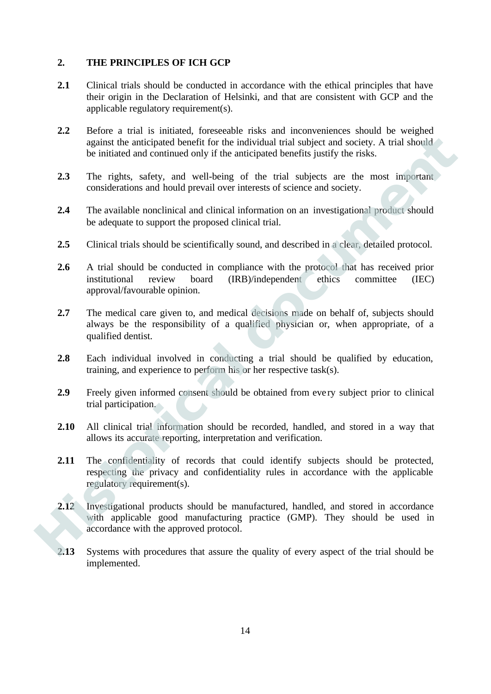### <span id="page-13-0"></span>**2. THE PRINCIPLES OF ICH GCP**

- 2.1 Clinical trials should be conducted in accordance with the ethical principles that have their origin in the Declaration of Helsinki, and that are consistent with GCP and the applicable regulatory requirement(s).
- **2.2** Before a trial is initiated, foreseeable risks and inconveniences should be weighed against the anticipated benefit for the individual trial subject and society. A trial should be initiated and continued only if the anticipated benefits justify the risks.
- **2.3** The rights, safety, and well-being of the trial subjects are the most important considerations and hould prevail over interests of science and society.
- **2.4** The available nonclinical and clinical information on an investigational product should be adequate to support the proposed clinical trial.
- **2.5** Clinical trials should be scientifically sound, and described in a clear, detailed protocol.
- **2.6** A trial should be conducted in compliance with the protocol that has received prior institutional review board (IRB)/independent ethics committee (IEC) approval/favourable opinion.
- **2.7** The medical care given to, and medical decisions made on behalf of, subjects should always be the responsibility of a qualified physician or, when appropriate, of a qualified dentist.
- **2.8** Each individual involved in conducting a trial should be qualified by education, training, and experience to perform his or her respective task(s).
- **2.9** Freely given informed consent should be obtained from eve ry subject prior to clinical trial participation.
- **2.10** All clinical trial information should be recorded, handled, and stored in a way that allows its accurate reporting, interpretation and verification.
- **2.11** The confidentiality of records that could identify subjects should be protected, respecting the privacy and confidentiality rules in accordance with the applicable regulatory requirement(s).
- **2.12** Investigational products should be manufactured, handled, and stored in accordance with applicable good manufacturing practice (GMP). They should be used in accordance with the approved protocol. agains the anticipated benefit for the individual trial subject and society. A trial should<br>be initiated and continued only if the anticipated benefits justify the risks.<br>
2.3 The rights, safety, and well-being of the tri
	- **2.13** Systems with procedures that assure the quality of every aspect of the trial should be implemented.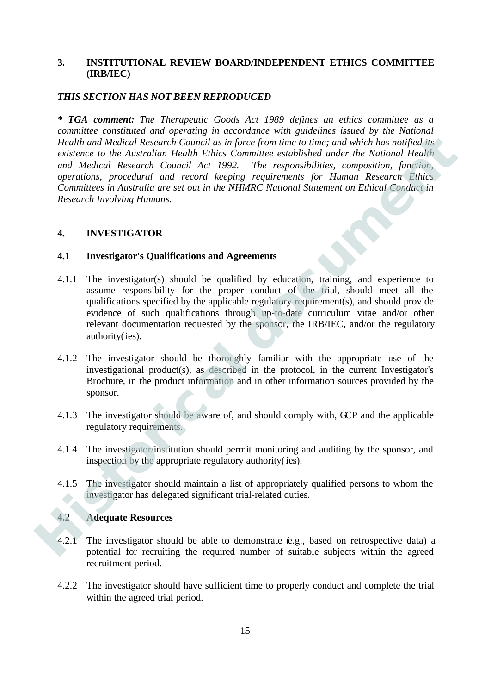### <span id="page-14-0"></span>**3. INSTITUTIONAL REVIEW BOARD/INDEPENDENT ETHICS COMMITTEE (IRB/IEC)**

### *THIS SECTION HAS NOT BEEN REPRODUCED*

*\* TGA comment: The Therapeutic Goods Act 1989 defines an ethics committee as a committee constituted and operating in accordance with guidelines issued by the National Health and Medical Research Council as in force from time to time; and which has notified its existence to the Australian Health Ethics Committee established under the National Health and Medical Research Council Act 1992. The responsibilities, composition, function, operations, procedural and record keeping requirements for Human Research Ethics Committees in Australia are set out in the NHMRC National Statement on Ethical Conduct in Research Involving Humans.* Health ratch-delical Research Council axis force from time to time; and which has notelfed its<br>neutrinon testing and Medical document and Medical document and Medical document<br>and Medical Research Council Act 1992. The re

### **4. INVESTIGATOR**

### **4.1 Investigator's Qualifications and Agreements**

- 4.1.1 The investigator(s) should be qualified by education, training, and experience to assume responsibility for the proper conduct of the trial, should meet all the qualifications specified by the applicable regulatory requirement(s), and should provide evidence of such qualifications through up-to-date curriculum vitae and/or other relevant documentation requested by the sponsor, the IRB/IEC, and/or the regulatory authority(ies).
- 4.1.2 The investigator should be thoroughly familiar with the appropriate use of the investigational product(s), as described in the protocol, in the current Investigator's Brochure, in the product information and in other information sources provided by the sponsor.
- 4.1.3 The investigator should be aware of, and should comply with, GCP and the applicable regulatory requirements.
- 4.1.4 The investigator/institution should permit monitoring and auditing by the sponsor, and inspection by the appropriate regulatory authority(ies).
- 4.1.5 The investigator should maintain a list of appropriately qualified persons to whom the investigator has delegated significant trial-related duties.

### **4.2 Adequate Resources**

- 4.2.1 The investigator should be able to demonstrate (e.g., based on retrospective data) a potential for recruiting the required number of suitable subjects within the agreed recruitment period.
- 4.2.2 The investigator should have sufficient time to properly conduct and complete the trial within the agreed trial period.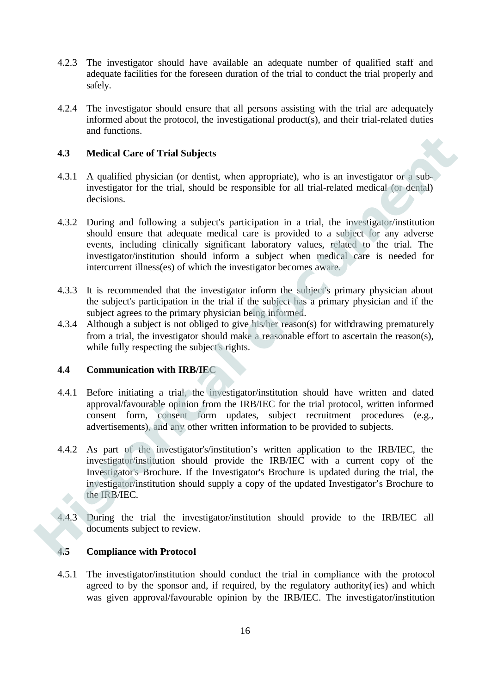- 4.2.3 The investigator should have available an adequate number of qualified staff and adequate facilities for the foreseen duration of the trial to conduct the trial properly and safely.
- 4.2.4 The investigator should ensure that all persons assisting with the trial are adequately informed about the protocol, the investigational product(s), and their trial-related duties and functions.

### **4.3 Medical Care of Trial Subjects**

- 4.3.1 A qualified physician (or dentist, when appropriate), who is an investigator or a subinvestigator for the trial, should be responsible for all trial-related medical (or dental) decisions.
- 4.3.2 During and following a subject's participation in a trial, the investigator/institution should ensure that adequate medical care is provided to a subject for any adverse events, including clinically significant laboratory values, related to the trial. The investigator/institution should inform a subject when medical care is needed for intercurrent illness(es) of which the investigator becomes aware.
- 4.3.3 It is recommended that the investigator inform the subject's primary physician about the subject's participation in the trial if the subject has a primary physician and if the subject agrees to the primary physician being informed.
- 4.3.4 Although a subject is not obliged to give his/her reason(s) for withdrawing prematurely from a trial, the investigator should make a reasonable effort to ascertain the reason(s), while fully respecting the subject's rights.

### **4.4 Communication with IRB/IEC**

- 4.4.1 Before initiating a trial, the investigator/institution should have written and dated approval/favourable opinion from the IRB/IEC for the trial protocol, written informed consent form, consent form updates, subject recruitment procedures (e.g., advertisements), and any other written information to be provided to subjects.
- 4.4.2 As part of the investigator's/institution's written application to the IRB/IEC, the investigator/institution should provide the IRB/IEC with a current copy of the Investigator's Brochure. If the Investigator's Brochure is updated during the trial, the investigator/institution should supply a copy of the updated Investigator's Brochure to the IRB/IEC. **4.3 Medical Care of Trial Subjects**<br> **4.3.1 A qualified** physician (or dentist, when appropriate), who is an investigator or sub-<br>
investigator for the trial, should be responsible for all trial-related medical (or denti
	- 4.4.3 During the trial the investigator/institution should provide to the IRB/IEC all documents subject to review.

### **4.5 Compliance with Protocol**

4.5.1 The investigator/institution should conduct the trial in compliance with the protocol agreed to by the sponsor and, if required, by the regulatory authority(ies) and which was given approval/favourable opinion by the IRB/IEC. The investigator/institution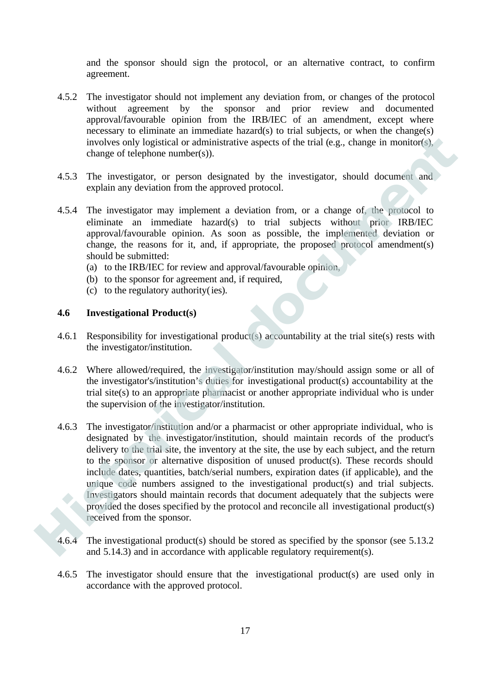and the sponsor should sign the protocol, or an alternative contract, to confirm agreement.

- 4.5.2 The investigator should not implement any deviation from, or changes of the protocol without agreement by the sponsor and prior review and documented approval/favourable opinion from the IRB/IEC of an amendment, except where necessary to eliminate an immediate hazard(s) to trial subjects, or when the change(s) involves only logistical or administrative aspects of the trial (e.g., change in monitor(s), change of telephone number(s)).
- 4.5.3 The investigator, or person designated by the investigator, should document and explain any deviation from the approved protocol.
- 4.5.4 The investigator may implement a deviation from, or a change of, the protocol to eliminate an immediate hazard(s) to trial subjects without prior IRB/IEC approval/favourable opinion. As soon as possible, the implemented deviation or change, the reasons for it, and, if appropriate, the proposed protocol amendment(s) should be submitted:
	- (a) to the IRB/IEC for review and approval/favourable opinion,
	- (b) to the sponsor for agreement and, if required,
	- (c) to the regulatory authority(ies).

### **4.6 Investigational Product(s)**

- 4.6.1 Responsibility for investigational product(s) accountability at the trial site(s) rests with the investigator/institution.
- 4.6.2 Where allowed/required, the investigator/institution may/should assign some or all of the investigator's/institution's duties for investigational product(s) accountability at the trial site(s) to an appropriate pharmacist or another appropriate individual who is under the supervision of the investigator/institution.
- 4.6.3 The investigator/institution and/or a pharmacist or other appropriate individual, who is designated by the investigator/institution, should maintain records of the product's delivery to the trial site, the inventory at the site, the use by each subject, and the return to the sponsor or alternative disposition of unused product(s). These records should include dates, quantities, batch/serial numbers, expiration dates (if applicable), and the unique code numbers assigned to the investigational product(s) and trial subjects. Investigators should maintain records that document adequately that the subjects were provided the doses specified by the protocol and reconcile all investigational product(s) received from the sponsor. involves only logistical or administrative aspects of the trial (e.g., change in monitor(s)<br>
change of telephone number(s)).<br>
4.5.3 The investigator, or person designated by the investigator, should document and<br>
explain
	- 4.6.4 The investigational product(s) should be stored as specified by the sponsor (see 5.13.2) and 5.14.3) and in accordance with applicable regulatory requirement(s).
	- 4.6.5 The investigator should ensure that the investigational product(s) are used only in accordance with the approved protocol.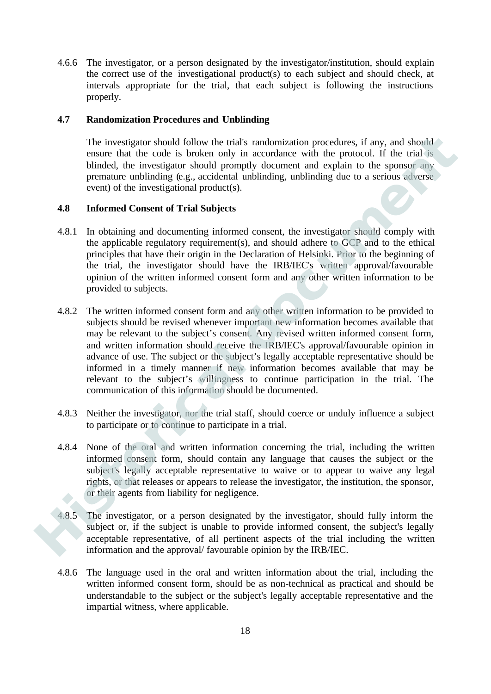4.6.6 The investigator, or a person designated by the investigator/institution, should explain the correct use of the investigational product(s) to each subject and should check, at intervals appropriate for the trial, that each subject is following the instructions properly.

### **4.7 Randomization Procedures and Unblinding**

The investigator should follow the trial's randomization procedures, if any, and should ensure that the code is broken only in accordance with the protocol. If the trial is blinded, the investigator should promptly document and explain to the sponsor any premature unblinding (e.g., accidental unblinding, unblinding due to a serious adverse event) of the investigational product(s).

### **4.8 Informed Consent of Trial Subjects**

- 4.8.1 In obtaining and documenting informed consent, the investigator should comply with the applicable regulatory requirement(s), and should adhere to GCP and to the ethical principles that have their origin in the Declaration of Helsinki. Prior to the beginning of the trial, the investigator should have the IRB/IEC's written approval/favourable opinion of the written informed consent form and any other written information to be provided to subjects.
- 4.8.2 The written informed consent form and any other written information to be provided to subjects should be revised whenever important new information becomes available that may be relevant to the subject's consent. Any revised written informed consent form, and written information should receive the IRB/IEC's approval/favourable opinion in advance of use. The subject or the subject's legally acceptable representative should be informed in a timely manner if new information becomes available that may be relevant to the subject's willingness to continue participation in the trial. The communication of this information should be documented. The investigate should follow the trial's mathemation procedures. If any, and should<br>meanter that the code is broken only in accordance with the protocol. If the trial is<br>binded, the investigate should promptly document a
	- 4.8.3 Neither the investigator, nor the trial staff, should coerce or unduly influence a subject to participate or to continue to participate in a trial.
	- 4.8.4 None of the oral and written information concerning the trial, including the written informed consent form, should contain any language that causes the subject or the subject's legally acceptable representative to waive or to appear to waive any legal rights, or that releases or appears to release the investigator, the institution, the sponsor, or their agents from liability for negligence.
	- 4.8.5 The investigator, or a person designated by the investigator, should fully inform the subject or, if the subject is unable to provide informed consent, the subject's legally acceptable representative, of all pertinent aspects of the trial including the written information and the approval/ favourable opinion by the IRB/IEC.
	- 4.8.6 The language used in the oral and written information about the trial, including the written informed consent form, should be as non-technical as practical and should be understandable to the subject or the subject's legally acceptable representative and the impartial witness, where applicable.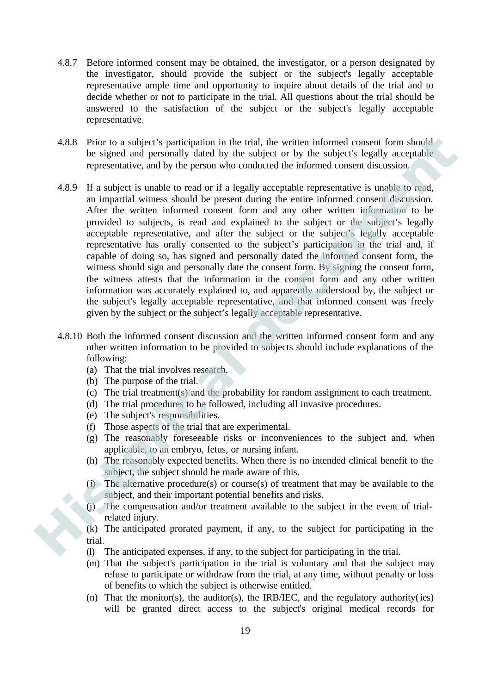- 4.8.7 Before informed consent may be obtained, the investigator, or a person designated by the investigator, should provide the subject or the subject's legally acceptable representative ample time and opportunity to inquire about details of the trial and to decide whether or not to participate in the trial. All questions about the trial should be answered to the satisfaction of the subject or the subject's legally acceptable representative.
- 4.8.8 Prior to a subject's participation in the trial, the written informed consent form should be signed and personally dated by the subject or by the subject's legally acceptable representative, and by the person who conducted the informed consent discussion.
- 4.8.9 If a subject is unable to read or if a legally acceptable representative is unable to read, an impartial witness should be present during the entire informed consent discussion. After the written informed consent form and any other written information to be provided to subjects, is read and explained to the subject or the subject's legally acceptable representative, and after the subject or the subject's legally acceptable representative has orally consented to the subject's participation in the trial and, if capable of doing so, has signed and personally dated the informed consent form, the witness should sign and personally date the consent form. By signing the consent form, the witness attests that the information in the consent form and any other written information was accurately explained to, and apparently understood by, the subject or the subject's legally acceptable representative, and that informed consent was freely given by the subject or the subject's legally acceptable representative. 4.8.8 Proto to a subject's participation in the trial, the written informed consent form about<br>1 To a signed and personally dated by the subject or by the subject's legally acceptable<br>representative, and by the person who
	- 4.8.10 Both the informed consent discussion and the written informed consent form and any other written information to be provided to subjects should include explanations of the following:
		- (a) That the trial involves research.
		- (b) The purpose of the trial.
		- (c) The trial treatment(s) and the probability for random assignment to each treatment.
		- (d) The trial procedures to be followed, including all invasive procedures.
		- (e) The subject's responsibilities.
		- (f) Those aspects of the trial that are experimental.
		- (g) The reasonably foreseeable risks or inconveniences to the subject and, when applicable, to an embryo, fetus, or nursing infant.
		- (h) The reasonably expected benefits. When there is no intended clinical benefit to the subject, the subject should be made aware of this.
		- (i) The alternative procedure(s) or course(s) of treatment that may be available to the subject, and their important potential benefits and risks.
		- (j) The compensation and/or treatment available to the subject in the event of trialrelated injury.
		- (k) The anticipated prorated payment, if any, to the subject for participating in the trial.
		- (l) The anticipated expenses, if any, to the subject for participating in the trial.
		- (m) That the subject's participation in the trial is voluntary and that the subject may refuse to participate or withdraw from the trial, at any time, without penalty or loss of benefits to which the subject is otherwise entitled.
		- (n) That the monitor(s), the auditor(s), the IRB/IEC, and the regulatory authority(ies) will be granted direct access to the subject's original medical records for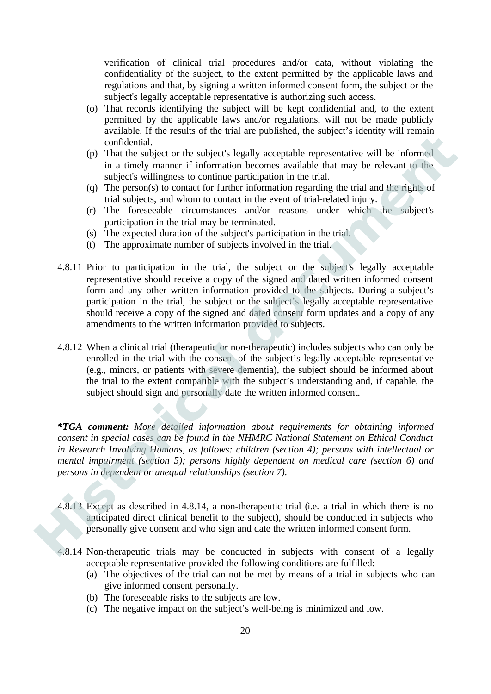verification of clinical trial procedures and/or data, without violating the confidentiality of the subject, to the extent permitted by the applicable laws and regulations and that, by signing a written informed consent form, the subject or the subject's legally acceptable representative is authorizing such access.

- (o) That records identifying the subject will be kept confidential and, to the extent permitted by the applicable laws and/or regulations, will not be made publicly available. If the results of the trial are published, the subject's identity will remain confidential.
- (p) That the subject or the subject's legally acceptable representative will be informed in a timely manner if information becomes available that may be relevant to the subject's willingness to continue participation in the trial.
- (q) The person(s) to contact for further information regarding the trial and the rights of trial subjects, and whom to contact in the event of trial-related injury.
- (r) The foreseeable circumstances and/or reasons under which the subject's participation in the trial may be terminated.
- (s) The expected duration of the subject's participation in the trial.
- (t) The approximate number of subjects involved in the trial.
- 4.8.11 Prior to participation in the trial, the subject or the subject's legally acceptable representative should receive a copy of the signed and dated written informed consent form and any other written information provided to the subjects. During a subject's participation in the trial, the subject or the subject's legally acceptable representative should receive a copy of the signed and dated consent form updates and a copy of any amendments to the written information provided to subjects. confidential.<br>
(a) That the subject or the subjects legally acceptable representative will be informed<br>
in a time/y manner if information becomes available that may be relevant to the<br>
subjects willingness to continue par
	- 4.8.12 When a clinical trial (therapeutic or non-therapeutic) includes subjects who can only be enrolled in the trial with the consent of the subject's legally acceptable representative (e.g., minors, or patients with severe dementia), the subject should be informed about the trial to the extent compatible with the subject's understanding and, if capable, the subject should sign and personally date the written informed consent.

*\*TGA comment: More detailed information about requirements for obtaining informed consent in special cases can be found in the NHMRC National Statement on Ethical Conduct in Research Involving Humans, as follows: children (section 4); persons with intellectual or mental impairment (section 5); persons highly dependent on medical care (section 6) and persons in dependent or unequal relationships (section 7).*

- 4.8.13 Except as described in 4.8.14, a non-therapeutic trial (i.e. a trial in which there is no anticipated direct clinical benefit to the subject), should be conducted in subjects who personally give consent and who sign and date the written informed consent form.
- 4.8.14 Non-therapeutic trials may be conducted in subjects with consent of a legally acceptable representative provided the following conditions are fulfilled:
	- (a) The objectives of the trial can not be met by means of a trial in subjects who can give informed consent personally.
	- (b) The foreseeable risks to the subjects are low.
	- (c) The negative impact on the subject's well-being is minimized and low.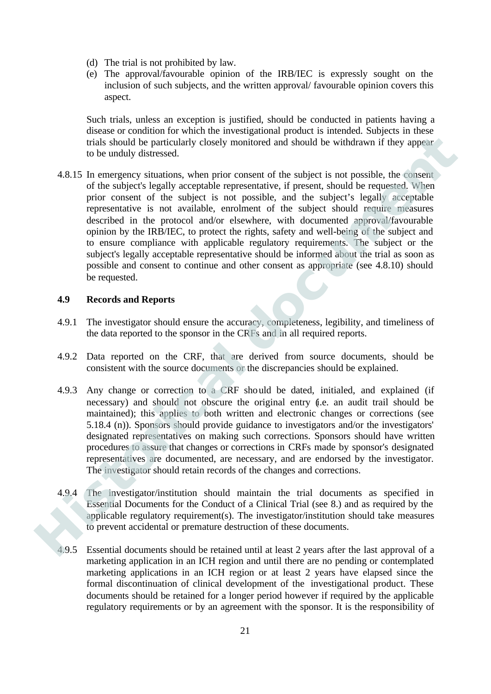- (d) The trial is not prohibited by law.
- (e) The approval/favourable opinion of the IRB/IEC is expressly sought on the inclusion of such subjects, and the written approval/ favourable opinion covers this aspect.

Such trials, unless an exception is justified, should be conducted in patients having a disease or condition for which the investigational product is intended. Subjects in these trials should be particularly closely monitored and should be withdrawn if they appear to be unduly distressed.

4.8.15 In emergency situations, when prior consent of the subject is not possible, the consent of the subject's legally acceptable representative, if present, should be requested. When prior consent of the subject is not possible, and the subject's legally acceptable representative is not available, enrolment of the subject should require measures described in the protocol and/or elsewhere, with documented approval/favourable opinion by the IRB/IEC, to protect the rights, safety and well-being of the subject and to ensure compliance with applicable regulatory requirements. The subject or the subject's legally acceptable representative should be informed about the trial as soon as possible and consent to continue and other consent as appropriate (see 4.8.10) should be requested. trials should be particularly closely monitored and should be withdrawn if they appear<br>to be unduly distressed.<br>
4.8.15 In emergency situations, when prior consent of the subject is not possible, the consent<br>
of the subje

### **4.9 Records and Reports**

- 4.9.1 The investigator should ensure the accuracy, completeness, legibility, and timeliness of the data reported to the sponsor in the CRFs and in all required reports.
- 4.9.2 Data reported on the CRF, that are derived from source documents, should be consistent with the source documents or the discrepancies should be explained.
- 4.9.3 Any change or correction to a CRF should be dated, initialed, and explained (if necessary) and should not obscure the original entry (i.e. an audit trail should be maintained); this applies to both written and electronic changes or corrections (see 5.18.4 (n)). Sponsors should provide guidance to investigators and/or the investigators' designated representatives on making such corrections. Sponsors should have written procedures to assure that changes or corrections in CRFs made by sponsor's designated representatives are documented, are necessary, and are endorsed by the investigator. The investigator should retain records of the changes and corrections.
- 4.9.4 The investigator/institution should maintain the trial documents as specified in Essential Documents for the Conduct of a Clinical Trial (see 8.) and as required by the applicable regulatory requirement(s). The investigator/institution should take measures to prevent accidental or premature destruction of these documents.
- 4.9.5 Essential documents should be retained until at least 2 years after the last approval of a marketing application in an ICH region and until there are no pending or contemplated marketing applications in an ICH region or at least 2 years have elapsed since the formal discontinuation of clinical development of the investigational product. These documents should be retained for a longer period however if required by the applicable regulatory requirements or by an agreement with the sponsor. It is the responsibility of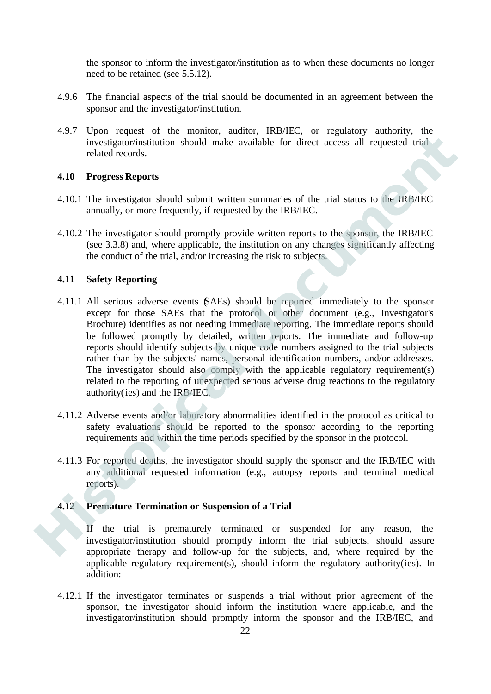the sponsor to inform the investigator/institution as to when these documents no longer need to be retained (see 5.5.12).

- 4.9.6 The financial aspects of the trial should be documented in an agreement between the sponsor and the investigator/institution.
- 4.9.7 Upon request of the monitor, auditor, IRB/IEC, or regulatory authority, the investigator/institution should make available for direct access all requested trialrelated records.

### **4.10 Progress Reports**

- 4.10.1 The investigator should submit written summaries of the trial status to the IRB/IEC annually, or more frequently, if requested by the IRB/IEC.
- 4.10.2 The investigator should promptly provide written reports to the sponsor, the IRB/IEC (see 3.3.8) and, where applicable, the institution on any changes significantly affecting the conduct of the trial, and/or increasing the risk to subjects.

### **4.11 Safety Reporting**

- 4.11.1 All serious adverse events (SAEs) should be reported immediately to the sponsor except for those SAEs that the protocol or other document (e.g., Investigator's Brochure) identifies as not needing immediate reporting. The immediate reports should be followed promptly by detailed, written reports. The immediate and follow-up reports should identify subjects by unique code numbers assigned to the trial subjects rather than by the subjects' names, personal identification numbers, and/or addresses. The investigator should also comply with the applicable regulatory requirement(s) related to the reporting of unexpected serious adverse drug reactions to the regulatory authority(ies) and the IRB/IEC. investigatorimittinon should make available for direct access all requested trial-<br>
related records.<br>
4.10 Progress Reports<br>
4.10.1 The investigator should submit written summaries of the trial status to the IRB/HC<br>
4.10.1
	- 4.11.2 Adverse events and/or laboratory abnormalities identified in the protocol as critical to safety evaluations should be reported to the sponsor according to the reporting requirements and within the time periods specified by the sponsor in the protocol.
	- 4.11.3 For reported deaths, the investigator should supply the sponsor and the IRB/IEC with any additional requested information (e.g., autopsy reports and terminal medical reports).

### **4.12 Premature Termination or Suspension of a Trial**

If the trial is prematurely terminated or suspended for any reason, the investigator/institution should promptly inform the trial subjects, should assure appropriate therapy and follow-up for the subjects, and, where required by the applicable regulatory requirement(s), should inform the regulatory authority(ies). In addition:

4.12.1 If the investigator terminates or suspends a trial without prior agreement of the sponsor, the investigator should inform the institution where applicable, and the investigator/institution should promptly inform the sponsor and the IRB/IEC, and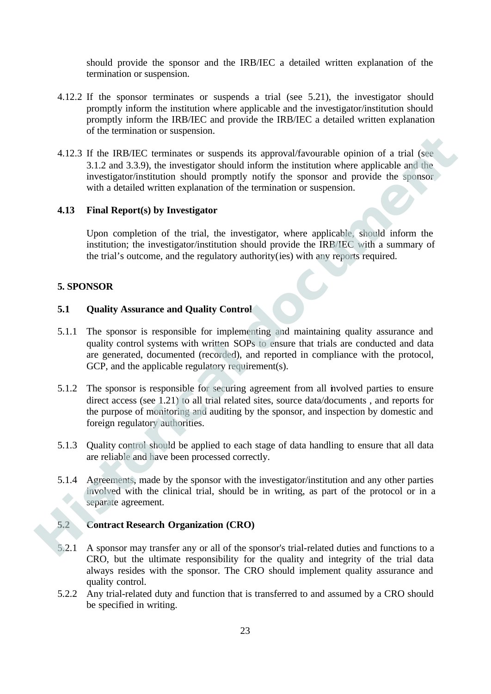<span id="page-22-0"></span>should provide the sponsor and the IRB/IEC a detailed written explanation of the termination or suspension.

- 4.12.2 If the sponsor terminates or suspends a trial (see 5.21), the investigator should promptly inform the institution where applicable and the investigator/institution should promptly inform the IRB/IEC and provide the IRB/IEC a detailed written explanation of the termination or suspension.
- 4.12.3 If the IRB/IEC terminates or suspends its approval/favourable opinion of a trial (see 3.1.2 and 3.3.9), the investigator should inform the institution where applicable and the investigator/institution should promptly notify the sponsor and provide the sponsor with a detailed written explanation of the termination or suspension.

### **4.13 Final Report(s) by Investigator**

Upon completion of the trial, the investigator, where applicable, should inform the institution; the investigator/institution should provide the IRB/IEC with a summary of the trial's outcome, and the regulatory authority(ies) with any reports required.

### **5. SPONSOR**

### **5.1 Quality Assurance and Quality Control**

- 5.1.1 The sponsor is responsible for implementing and maintaining quality assurance and quality control systems with written SOPs to ensure that trials are conducted and data are generated, documented (recorded), and reported in compliance with the protocol, GCP, and the applicable regulatory requirement(s). 4.12.3 If the IRB/IEC terminates or suspends its approval/favourable optimon of a trial (see<br>
3.1.2 and 3.30), he investigate should inform the institution where aplicable and the<br>
investigate formulation should promptly
	- 5.1.2 The sponsor is responsible for securing agreement from all involved parties to ensure direct access (see 1.21) to all trial related sites, source data/documents , and reports for the purpose of monitoring and auditing by the sponsor, and inspection by domestic and foreign regulatory authorities.
	- 5.1.3 Quality control should be applied to each stage of data handling to ensure that all data are reliable and have been processed correctly.
	- 5.1.4 Agreements, made by the sponsor with the investigator/institution and any other parties involved with the clinical trial, should be in writing, as part of the protocol or in a separate agreement.

### **5.2 Contract Research Organization (CRO)**

- 5.2.1 A sponsor may transfer any or all of the sponsor's trial-related duties and functions to a CRO, but the ultimate responsibility for the quality and integrity of the trial data always resides with the sponsor. The CRO should implement quality assurance and quality control.
- 5.2.2 Any trial-related duty and function that is transferred to and assumed by a CRO should be specified in writing.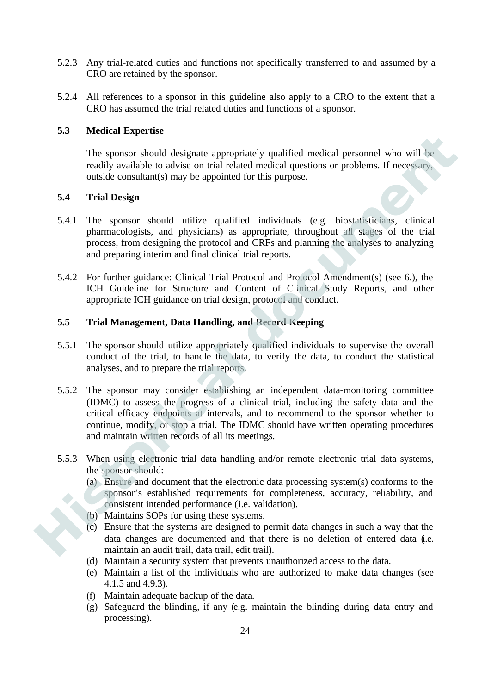- 5.2.3 Any trial-related duties and functions not specifically transferred to and assumed by a CRO are retained by the sponsor.
- 5.2.4 All references to a sponsor in this guideline also apply to a CRO to the extent that a CRO has assumed the trial related duties and functions of a sponsor.

### **5.3 Medical Expertise**

The sponsor should designate appropriately qualified medical personnel who will be readily available to advise on trial related medical questions or problems. If necessary, outside consultant(s) may be appointed for this purpose.

### **5.4 Trial Design**

- 5.4.1 The sponsor should utilize qualified individuals (e.g. biostatisticians, clinical pharmacologists, and physicians) as appropriate, throughout all stages of the trial process, from designing the protocol and CRFs and planning the analyses to analyzing and preparing interim and final clinical trial reports.
- 5.4.2 For further guidance: Clinical Trial Protocol and Protocol Amendment(s) (see 6.), the ICH Guideline for Structure and Content of Clinical Study Reports, and other appropriate ICH guidance on trial design, protocol and conduct.

### **5.5 Trial Management, Data Handling, and Record Keeping**

- 5.5.1 The sponsor should utilize appropriately qualified individuals to supervise the overall conduct of the trial, to handle the data, to verify the data, to conduct the statistical analyses, and to prepare the trial reports.
- 5.5.2 The sponsor may consider establishing an independent data-monitoring committee (IDMC) to assess the progress of a clinical trial, including the safety data and the critical efficacy endpoints at intervals, and to recommend to the sponsor whether to continue, modify, or stop a trial. The IDMC should have written operating procedures and maintain written records of all its meetings. The sponsor should designate appropriately qualified medical personnel who will be<br>readily available to advise on trial related medical questions or problems. If necessary,<br>outside consultants) any be appointed for this p
	- 5.5.3 When using electronic trial data handling and/or remote electronic trial data systems, the sponsor should:
		- (a) Ensure and document that the electronic data processing system(s) conforms to the sponsor's established requirements for completeness, accuracy, reliability, and consistent intended performance (i.e. validation).
		- (b) Maintains SOPs for using these systems.
		- (c) Ensure that the systems are designed to permit data changes in such a way that the data changes are documented and that there is no deletion of entered data *i.e.* maintain an audit trail, data trail, edit trail).
		- (d) Maintain a security system that prevents unauthorized access to the data.
		- (e) Maintain a list of the individuals who are authorized to make data changes (see 4.1.5 and 4.9.3).
		- (f) Maintain adequate backup of the data.
		- (g) Safeguard the blinding, if any (e.g. maintain the blinding during data entry and processing).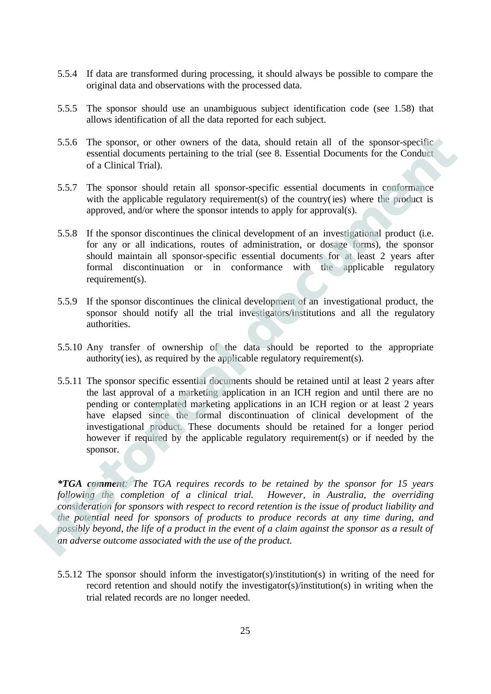- 5.5.4 If data are transformed during processing, it should always be possible to compare the original data and observations with the processed data.
- 5.5.5 The sponsor should use an unambiguous subject identification code (see 1.58) that allows identification of all the data reported for each subject.
- 5.5.6 The sponsor, or other owners of the data, should retain all of the sponsor-specific essential documents pertaining to the trial (see 8. Essential Documents for the Conduct of a Clinical Trial).
- 5.5.7 The sponsor should retain all sponsor-specific essential documents in conformance with the applicable regulatory requirement(s) of the country(ies) where the product is approved, and/or where the sponsor intends to apply for approval(s).
- 5.5.8 If the sponsor discontinues the clinical development of an investigational product (i.e. for any or all indications, routes of administration, or dosage forms), the sponsor should maintain all sponsor-specific essential documents for at least 2 years after formal discontinuation or in conformance with the applicable regulatory requirement(s).
- 5.5.9 If the sponsor discontinues the clinical development of an investigational product, the sponsor should notify all the trial investigators/institutions and all the regulatory authorities.
- 5.5.10 Any transfer of ownership of the data should be reported to the appropriate authority(ies), as required by the applicable regulatory requirement(s).
- 5.5.11 The sponsor specific essential documents should be retained until at least 2 years after the last approval of a marketing application in an ICH region and until there are no pending or contemplated marketing applications in an ICH region or at least 2 years have elapsed since the formal discontinuation of clinical development of the investigational product. These documents should be retained for a longer period however if required by the applicable regulatory requirement(s) or if needed by the sponsor. 5.5.6 The sponsor or other owners of the data, should retain all of the sponsor-specific<br>
ossential documents pertaining to the trial (see 8. Essential Documents for the Conduct<br>
of a Clinical Trial).<br>
5.5.7 The sponsor s

*\*TGA comment: The TGA requires records to be retained by the sponsor for 15 years following the completion of a clinical trial. However, in Australia, the overriding consideration for sponsors with respect to record retention is the issue of product liability and the potential need for sponsors of products to produce records at any time during, and possibly beyond, the life of a product in the event of a claim against the sponsor as a result of an adverse outcome associated with the use of the product.*

5.5.12 The sponsor should inform the investigator(s)/institution(s) in writing of the need for record retention and should notify the investigator(s)/institution(s) in writing when the trial related records are no longer needed.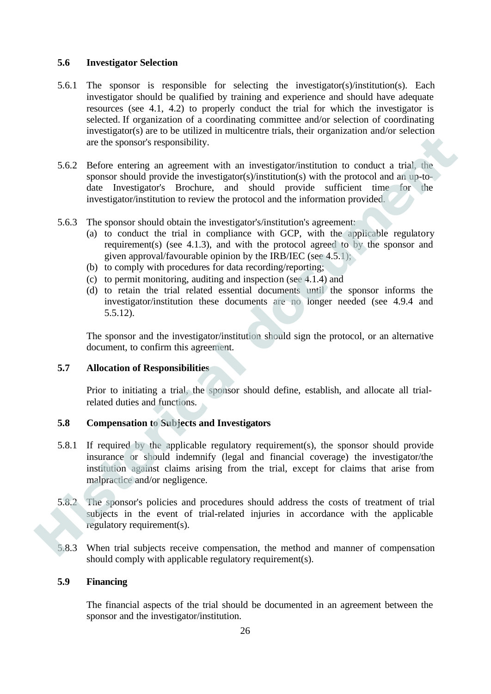### **5.6 Investigator Selection**

- 5.6.1 The sponsor is responsible for selecting the investigator(s)/institution(s). Each investigator should be qualified by training and experience and should have adequate resources (see 4.1, 4.2) to properly conduct the trial for which the investigator is selected. If organization of a coordinating committee and/or selection of coordinating investigator(s) are to be utilized in multicentre trials, their organization and/or selection are the sponsor's responsibility.
- 5.6.2 Before entering an agreement with an investigator/institution to conduct a trial, the sponsor should provide the investigator(s)/institution(s) with the protocol and an up-todate Investigator's Brochure, and should provide sufficient time for the investigator/institution to review the protocol and the information provided.
- 5.6.3 The sponsor should obtain the investigator's/institution's agreement:
	- (a) to conduct the trial in compliance with GCP, with the applicable regulatory requirement(s) (see 4.1.3), and with the protocol agreed to by the sponsor and given approval/favourable opinion by the IRB/IEC (see 4.5.1);
	- (b) to comply with procedures for data recording/reporting;
	- (c) to permit monitoring, auditing and inspection (see 4.1.4) and
	- (d) to retain the trial related essential documents until the sponsor informs the investigator/institution these documents are no longer needed (see 4.9.4 and 5.5.12).

The sponsor and the investigator/institution should sign the protocol, or an alternative document, to confirm this agreement.

### **5.7 Allocation of Responsibilities**

Prior to initiating a trial, the sponsor should define, establish, and allocate all trialrelated duties and functions.

### **5.8 Compensation to Subjects and Investigators**

- 5.8.1 If required by the applicable regulatory requirement(s), the sponsor should provide insurance or should indemnify (legal and financial coverage) the investigator/the institution against claims arising from the trial, except for claims that arise from malpractice and/or negligence. are the sponsor's responsibility.<br>
5.6.2 Before enterig a a agreement with an investigator's institutions to conduct a trial, the<br>
sponsor should provide the investigator's institutions (i) with the protocol and at up-to-
	- 5.8.2 The sponsor's policies and procedures should address the costs of treatment of trial subjects in the event of trial-related injuries in accordance with the applicable regulatory requirement(s).
	- 5.8.3 When trial subjects receive compensation, the method and manner of compensation should comply with applicable regulatory requirement(s).

### **5.9 Financing**

The financial aspects of the trial should be documented in an agreement between the sponsor and the investigator/institution.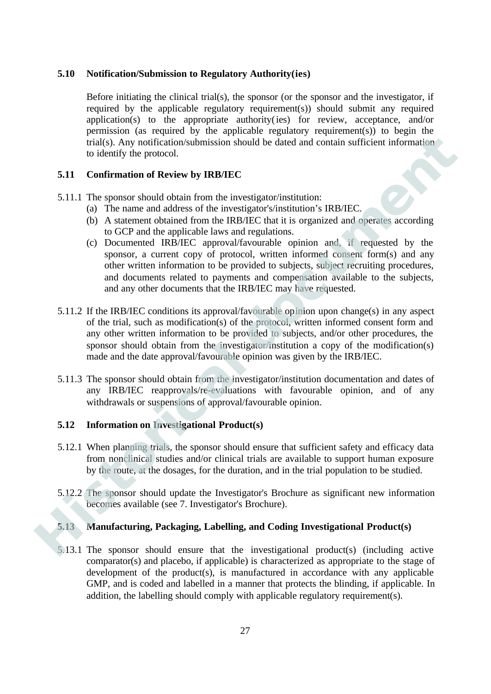### **5.10 Notification/Submission to Regulatory Authority(ies)**

Before initiating the clinical trial(s), the sponsor (or the sponsor and the investigator, if required by the applicable regulatory requirement(s)) should submit any required application(s) to the appropriate authority(ies) for review, acceptance, and/or permission (as required by the applicable regulatory requirement(s)) to begin the trial(s). Any notification/submission should be dated and contain sufficient information to identify the protocol.

### **5.11 Confirmation of Review by IRB/IEC**

- 5.11.1 The sponsor should obtain from the investigator/institution:
	- (a) The name and address of the investigator's/institution's IRB/IEC.
	- (b) A statement obtained from the IRB/IEC that it is organized and operates according to GCP and the applicable laws and regulations.
	- (c) Documented IRB/IEC approval/favourable opinion and, if requested by the sponsor, a current copy of protocol, written informed consent form(s) and any other written information to be provided to subjects, subject recruiting procedures, and documents related to payments and compensation available to the subjects, and any other documents that the IRB/IEC may have requested.
- 5.11.2 If the IRB/IEC conditions its approval/favourable opinion upon change(s) in any aspect of the trial, such as modification(s) of the protocol, written informed consent form and any other written information to be provided to subjects, and/or other procedures, the sponsor should obtain from the investigator/institution a copy of the modification(s) made and the date approval/favourable opinion was given by the IRB/IEC. traile). Any motificant<br>invision should be dated and contain sufficient information<br>to identify the protocol.<br>
S.11.1 The sponsor should obtain from the investigator/institution:<br>
(a) The name and address of the investiga
	- 5.11.3 The sponsor should obtain from the investigator/institution documentation and dates of any IRB/IEC reapprovals/re-evaluations with favourable opinion, and of any withdrawals or suspensions of approval/favourable opinion.

### **5.12 Information on Investigational Product(s)**

- 5.12.1 When planning trials, the sponsor should ensure that sufficient safety and efficacy data from nonclinical studies and/or clinical trials are available to support human exposure by the route, at the dosages, for the duration, and in the trial population to be studied.
- 5.12.2 The sponsor should update the Investigator's Brochure as significant new information becomes available (see 7. Investigator's Brochure).

### **5.13 Manufacturing, Packaging, Labelling, and Coding Investigational Product(s)**

5.13.1 The sponsor should ensure that the investigational product(s) (including active comparator(s) and placebo, if applicable) is characterized as appropriate to the stage of development of the product(s), is manufactured in accordance with any applicable GMP, and is coded and labelled in a manner that protects the blinding, if applicable. In addition, the labelling should comply with applicable regulatory requirement(s).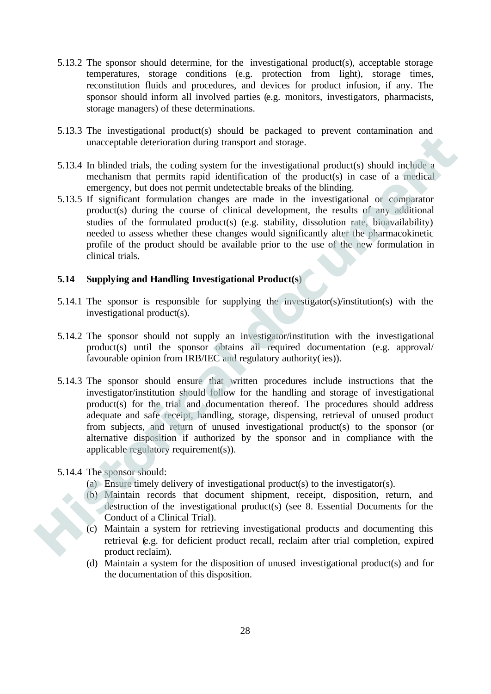- 5.13.2 The sponsor should determine, for the investigational product(s), acceptable storage temperatures, storage conditions (e.g. protection from light), storage times, reconstitution fluids and procedures, and devices for product infusion, if any. The sponsor should inform all involved parties (e.g. monitors, investigators, pharmacists, storage managers) of these determinations.
- 5.13.3 The investigational product(s) should be packaged to prevent contamination and unacceptable deterioration during transport and storage.
- 5.13.4 In blinded trials, the coding system for the investigational product(s) should include a mechanism that permits rapid identification of the product(s) in case of a medical emergency, but does not permit undetectable breaks of the blinding.
- 5.13.5 If significant formulation changes are made in the investigational or comparator product(s) during the course of clinical development, the results of any additional studies of the formulated product(s) (e.g. stability, dissolution rate, bioavailability) needed to assess whether these changes would significantly alter the pharmacokinetic profile of the product should be available prior to the use of the new formulation in clinical trials.

### **5.14 Supplying and Handling Investigational Product(s)**

- 5.14.1 The sponsor is responsible for supplying the investigator(s)/institution(s) with the investigational product(s).
- 5.14.2 The sponsor should not supply an investigator/institution with the investigational product(s) until the sponsor obtains all required documentation (e.g. approval/ favourable opinion from IRB/IEC and regulatory authority(ies)).
- 5.14.3 The sponsor should ensure that written procedures include instructions that the investigator/institution should follow for the handling and storage of investigational product(s) for the trial and documentation thereof. The procedures should address adequate and safe receipt, handling, storage, dispensing, retrieval of unused product from subjects, and return of unused investigational product(s) to the sponsor (or alternative disposition if authorized by the sponsor and in compliance with the applicable regulatory requirement(s)). unacceptable deterioration during transport and storage.<br>
5.13.4 In bihited trais, the coding system for the investigational product(s) should include a<br>
mechanism that permits rapid identification of the product(s) in ca
	- 5.14.4 The sponsor should:
		- (a) Ensure timely delivery of investigational product(s) to the investigator(s).
		- (b) Maintain records that document shipment, receipt, disposition, return, and destruction of the investigational product(s) (see 8. Essential Documents for the Conduct of a Clinical Trial).
		- (c) Maintain a system for retrieving investigational products and documenting this retrieval (e.g. for deficient product recall, reclaim after trial completion, expired product reclaim).
		- (d) Maintain a system for the disposition of unused investigational product(s) and for the documentation of this disposition.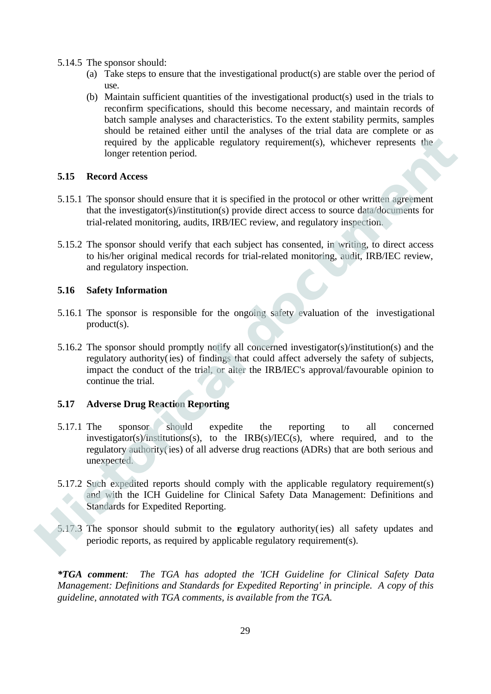- 5.14.5 The sponsor should:
	- (a) Take steps to ensure that the investigational product(s) are stable over the period of use.
	- (b) Maintain sufficient quantities of the investigational product(s) used in the trials to reconfirm specifications, should this become necessary, and maintain records of batch sample analyses and characteristics. To the extent stability permits, samples should be retained either until the analyses of the trial data are complete or as required by the applicable regulatory requirement(s), whichever represents the longer retention period.

### **5.15 Record Access**

- 5.15.1 The sponsor should ensure that it is specified in the protocol or other written agreement that the investigator(s)/institution(s) provide direct access to source data/documents for trial-related monitoring, audits, IRB/IEC review, and regulatory inspection.
- 5.15.2 The sponsor should verify that each subject has consented, in writing, to direct access to his/her original medical records for trial-related monitoring, audit, IRB/IEC review, and regulatory inspection.

### **5.16 Safety Information**

- 5.16.1 The sponsor is responsible for the ongoing safety evaluation of the investigational product(s).
- 5.16.2 The sponsor should promptly notify all concerned investigator(s)/institution(s) and the regulatory authority(ies) of findings that could affect adversely the safety of subjects, impact the conduct of the trial, or alter the IRB/IEC's approval/favourable opinion to continue the trial.

### **5.17 Adverse Drug Reaction Reporting**

- 5.17.1 The sponsor should expedite the reporting to all concerned investigator(s)/institutions(s), to the IRB(s)/IEC(s), where required, and to the regulatory authority(ies) of all adverse drug reactions (ADRs) that are both serious and unexpected. required by the applicable regulatory requirement(s), whichever represents the logar retention period.<br>
S.15.1 The sponsor should ensure that it is specified in the protocol or other written agreement that the investigato
	- 5.17.2 Such expedited reports should comply with the applicable regulatory requirement(s) and with the ICH Guideline for Clinical Safety Data Management: Definitions and Standards for Expedited Reporting.
	- 5.17.3 The sponsor should submit to the regulatory authority(ies) all safety updates and periodic reports, as required by applicable regulatory requirement(s).

*\*TGA comment: The TGA has adopted the 'ICH Guideline for Clinical Safety Data Management: Definitions and Standards for Expedited Reporting' in principle. A copy of this guideline, annotated with TGA comments, is available from the TGA.*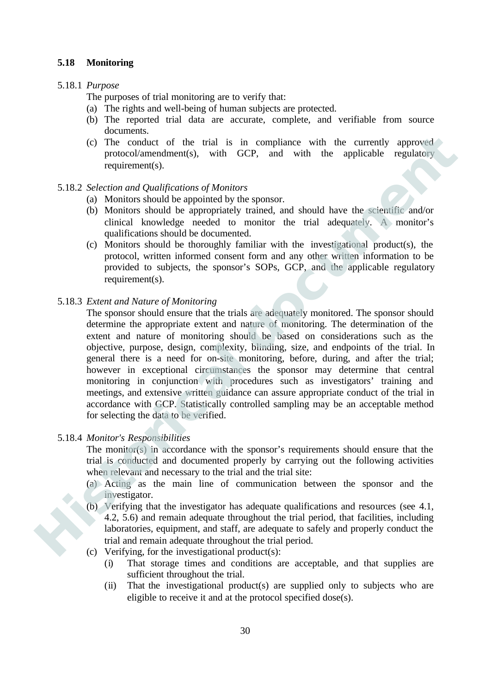### **5.18 Monitoring**

### 5.18.1 *Purpose*

The purposes of trial monitoring are to verify that:

- (a) The rights and well-being of human subjects are protected.
- (b) The reported trial data are accurate, complete, and verifiable from source documents.
- (c) The conduct of the trial is in compliance with the currently approved protocol/amendment(s), with GCP, and with the applicable regulatory requirement(s).
- 5.18.2 *Selection and Qualifications of Monitors*
	- (a) Monitors should be appointed by the sponsor.
	- (b) Monitors should be appropriately trained, and should have the scientific and/or clinical knowledge needed to monitor the trial adequately. A monitor's qualifications should be documented.
	- (c) Monitors should be thoroughly familiar with the investigational product(s), the protocol, written informed consent form and any other written information to be provided to subjects, the sponsor's SOPs, GCP, and the applicable regulatory requirement(s).

### 5.18.3 *Extent and Nature of Monitoring*

The sponsor should ensure that the trials are adequately monitored. The sponsor should determine the appropriate extent and nature of monitoring. The determination of the extent and nature of monitoring should be based on considerations such as the objective, purpose, design, complexity, blinding, size, and endpoints of the trial. In general there is a need for on-site monitoring, before, during, and after the trial; however in exceptional circumstances the sponsor may determine that central monitoring in conjunction with procedures such as investigators' training and meetings, and extensive written guidance can assure appropriate conduct of the trial in accordance with GCP. Statistically controlled sampling may be an acceptable method for selecting the data to be verified. (c) The conduct of the trial is in compliance with the currently approved<br>
protocol/annear/ment(s), with GCP, and with the carrently approved<br>
requirement(s).<br>  $5.18.2 \text{ Secto and Qualification of Moritor}$  on  $\Delta$  with GCP and with the applicab

### 5.18.4 *Monitor's Responsibilities*

The monitor(s) in accordance with the sponsor's requirements should ensure that the trial is conducted and documented properly by carrying out the following activities when relevant and necessary to the trial and the trial site:

- (a) Acting as the main line of communication between the sponsor and the investigator.
- (b) Verifying that the investigator has adequate qualifications and resources (see 4.1, 4.2, 5.6) and remain adequate throughout the trial period, that facilities, including laboratories, equipment, and staff, are adequate to safely and properly conduct the trial and remain adequate throughout the trial period.
- (c) Verifying, for the investigational product(s):
	- (i) That storage times and conditions are acceptable, and that supplies are sufficient throughout the trial.
	- (ii) That the investigational product(s) are supplied only to subjects who are eligible to receive it and at the protocol specified dose(s).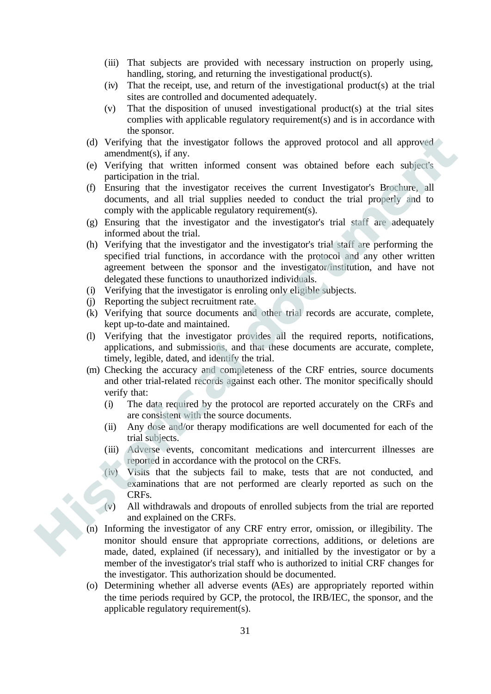- (iii) That subjects are provided with necessary instruction on properly using, handling, storing, and returning the investigational product(s).
- (iv) That the receipt, use, and return of the investigational product(s) at the trial sites are controlled and documented adequately.
- (v) That the disposition of unused investigational product(s) at the trial sites complies with applicable regulatory requirement(s) and is in accordance with the sponsor.
- (d) Verifying that the investigator follows the approved protocol and all approved amendment(s), if any.
- (e) Verifying that written informed consent was obtained before each subject's participation in the trial.
- (f) Ensuring that the investigator receives the current Investigator's Brochure, all documents, and all trial supplies needed to conduct the trial properly and to comply with the applicable regulatory requirement(s).
- (g) Ensuring that the investigator and the investigator's trial staff are adequately informed about the trial.
- (h) Verifying that the investigator and the investigator's trial staff are performing the specified trial functions, in accordance with the protocol and any other written agreement between the sponsor and the investigator/institution, and have not delegated these functions to unauthorized individuals. (d) Verifying that the investigator follows the approved protocol and all approved<br>
(e) Verifying that within informed consent was obtained before each subjects<br>
(e) Verifying that within informed consent was obtained bef
	- (i) Verifying that the investigator is enroling only eligible subjects.
	- (j) Reporting the subject recruitment rate.
	- (k) Verifying that source documents and other trial records are accurate, complete, kept up-to-date and maintained.
	- (l) Verifying that the investigator provides all the required reports, notifications, applications, and submissions, and that these documents are accurate, complete, timely, legible, dated, and identify the trial.
	- (m) Checking the accuracy and completeness of the CRF entries, source documents and other trial-related records against each other. The monitor specifically should verify that:
		- (i) The data required by the protocol are reported accurately on the CRFs and are consistent with the source documents.
		- (ii) Any dose and/or therapy modifications are well documented for each of the trial subjects.
		- (iii) Adverse events, concomitant medications and intercurrent illnesses are reported in accordance with the protocol on the CRFs.
		- (iv) Visits that the subjects fail to make, tests that are not conducted, and examinations that are not performed are clearly reported as such on the CRFs.
		- $(v)$  All withdrawals and dropouts of enrolled subjects from the trial are reported and explained on the CRFs.
	- (n) Informing the investigator of any CRF entry error, omission, or illegibility. The monitor should ensure that appropriate corrections, additions, or deletions are made, dated, explained (if necessary), and initialled by the investigator or by a member of the investigator's trial staff who is authorized to initial CRF changes for the investigator. This authorization should be documented.
	- (o) Determining whether all adverse events (AEs) are appropriately reported within the time periods required by GCP, the protocol, the IRB/IEC, the sponsor, and the applicable regulatory requirement(s).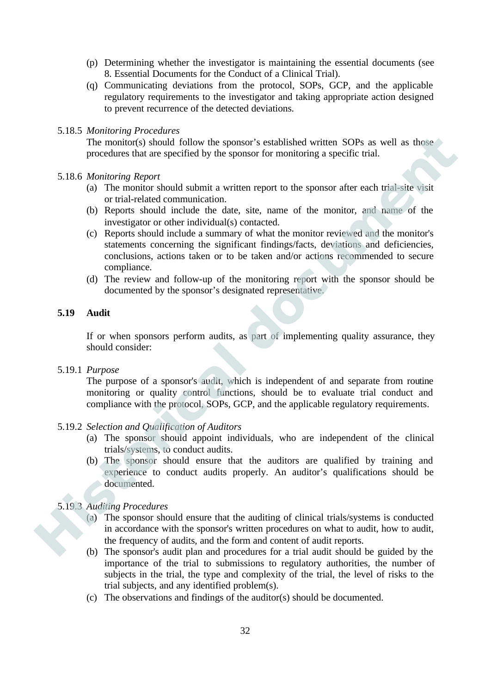- (p) Determining whether the investigator is maintaining the essential documents (see 8. Essential Documents for the Conduct of a Clinical Trial).
- (q) Communicating deviations from the protocol, SOPs, GCP, and the applicable regulatory requirements to the investigator and taking appropriate action designed to prevent recurrence of the detected deviations.

### 5.18.5 *Monitoring Procedures*

The monitor(s) should follow the sponsor's established written SOPs as well as those procedures that are specified by the sponsor for monitoring a specific trial.

### 5.18.6 *Monitoring Report*

- (a) The monitor should submit a written report to the sponsor after each trial-site visit or trial-related communication.
- (b) Reports should include the date, site, name of the monitor, and name of the investigator or other individual(s) contacted.
- (c) Reports should include a summary of what the monitor reviewed and the monitor's statements concerning the significant findings/facts, deviations and deficiencies, conclusions, actions taken or to be taken and/or actions recommended to secure compliance. The monitoring should follow the sponser's established written SOPs as well as these<br>procedures that are specified by the sponsor for monitoring a specific trial.<br>
5.18.6 *Monitoring Report*<br>
(a) The monitor should submit
	- (d) The review and follow-up of the monitoring report with the sponsor should be documented by the sponsor's designated representative.

### **5.19 Audit**

If or when sponsors perform audits, as part of implementing quality assurance, they should consider:

### 5.19.1 *Purpose*

The purpose of a sponsor's audit, which is independent of and separate from routine monitoring or quality control functions, should be to evaluate trial conduct and compliance with the protocol, SOPs, GCP, and the applicable regulatory requirements.

### 5.19.2 *Selection and Qualification of Auditors*

- (a) The sponsor should appoint individuals, who are independent of the clinical trials/systems, to conduct audits.
- (b) The sponsor should ensure that the auditors are qualified by training and experience to conduct audits properly. An auditor's qualifications should be documented.

### 5.19.3 *Auditing Procedures*

- (a) The sponsor should ensure that the auditing of clinical trials/systems is conducted in accordance with the sponsor's written procedures on what to audit, how to audit, the frequency of audits, and the form and content of audit reports.
- (b) The sponsor's audit plan and procedures for a trial audit should be guided by the importance of the trial to submissions to regulatory authorities, the number of subjects in the trial, the type and complexity of the trial, the level of risks to the trial subjects, and any identified problem(s).
- (c) The observations and findings of the auditor(s) should be documented.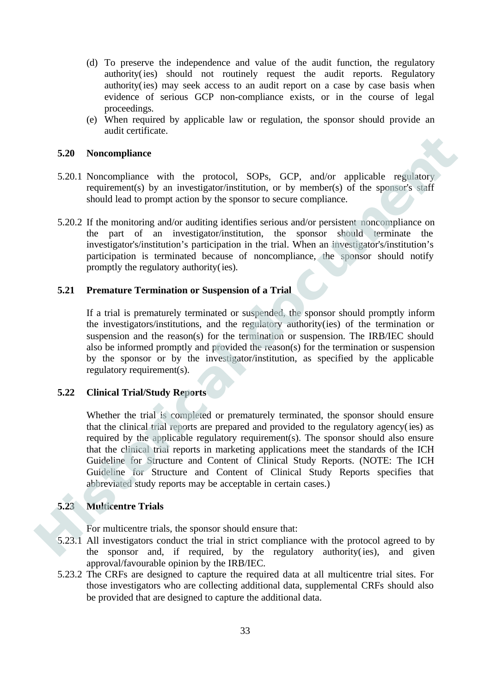- (d) To preserve the independence and value of the audit function, the regulatory authority(ies) should not routinely request the audit reports. Regulatory authority(ies) may seek access to an audit report on a case by case basis when evidence of serious GCP non-compliance exists, or in the course of legal proceedings.
- (e) When required by applicable law or regulation, the sponsor should provide an audit certificate.

### **5.20 Noncompliance**

- 5.20.1 Noncompliance with the protocol, SOPs, GCP, and/or applicable regulatory requirement(s) by an investigator/institution, or by member(s) of the sponsor's staff should lead to prompt action by the sponsor to secure compliance.
- 5.20.2 If the monitoring and/or auditing identifies serious and/or persistent noncompliance on the part of an investigator/institution, the sponsor should terminate the investigator's/institution's participation in the trial. When an investigator's/institution's participation is terminated because of noncompliance, the sponsor should notify promptly the regulatory authority(ies).

### **5.21 Premature Termination or Suspension of a Trial**

If a trial is prematurely terminated or suspended, the sponsor should promptly inform the investigators/institutions, and the regulatory authority(ies) of the termination or suspension and the reason(s) for the termination or suspension. The IRB/IEC should also be informed promptly and provided the reason(s) for the termination or suspension by the sponsor or by the investigator/institution, as specified by the applicable regulatory requirement(s).

### **5.22 Clinical Trial/Study Reports**

Whether the trial is completed or prematurely terminated, the sponsor should ensure that the clinical trial reports are prepared and provided to the regulatory agency(ies) as required by the applicable regulatory requirement(s). The sponsor should also ensure that the clinical trial reports in marketing applications meet the standards of the ICH Guideline for Structure and Content of Clinical Study Reports. (NOTE: The ICH Guideline for Structure and Content of Clinical Study Reports specifies that abbreviated study reports may be acceptable in certain cases.) **5.20 Noncompliance**<br>
5.20.1 Noncompliance with the protocol, SOPs, GCP, and/or applicable regulatory<br>
requirement(s) by an investigator/institution, or by members) of the spensor's shift<br>
should lead to promot action by

### **5.23 Multicentre Trials**

For multicentre trials, the sponsor should ensure that:

- 5.23.1 All investigators conduct the trial in strict compliance with the protocol agreed to by the sponsor and, if required, by the regulatory authority(ies), and given approval/favourable opinion by the IRB/IEC.
- 5.23.2 The CRFs are designed to capture the required data at all multicentre trial sites. For those investigators who are collecting additional data, supplemental CRFs should also be provided that are designed to capture the additional data.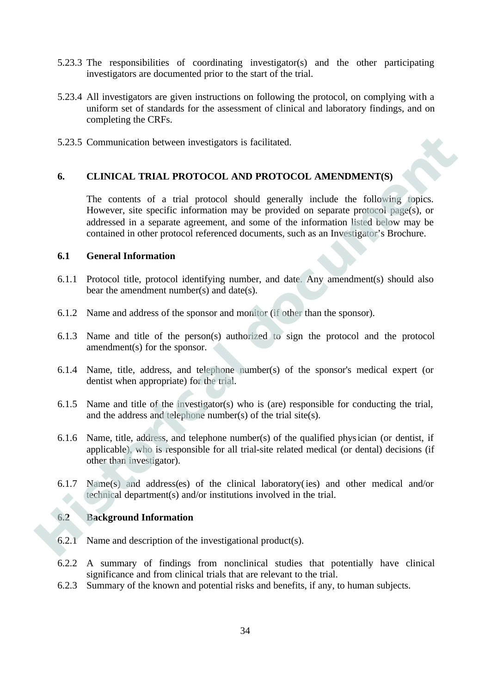- <span id="page-33-0"></span>5.23.3 The responsibilities of coordinating investigator(s) and the other participating investigators are documented prior to the start of the trial.
- 5.23.4 All investigators are given instructions on following the protocol, on complying with a uniform set of standards for the assessment of clinical and laboratory findings, and on completing the CRFs.
- 5.23.5 Communication between investigators is facilitated.

### **6. CLINICAL TRIAL PROTOCOL AND PROTOCOL AMENDMENT(S)**

The contents of a trial protocol should generally include the following topics. However, site specific information may be provided on separate protocol page(s), or addressed in a separate agreement, and some of the information listed below may be contained in other protocol referenced documents, such as an Investigator's Brochure. 5.23.5 Communication hetween investigators is facilitated.<br> **6. CLINICAL TRIAL PROTOCOL AND PROTOCOL AMENDMENT(S)**<br>
The contents of a trial protocol should generally include the following sopics.<br>
However, site specific

### **6.1 General Information**

- 6.1.1 Protocol title, protocol identifying number, and date. Any amendment(s) should also bear the amendment number(s) and date(s).
- 6.1.2 Name and address of the sponsor and monitor (if other than the sponsor).
- 6.1.3 Name and title of the person(s) authorized to sign the protocol and the protocol amendment(s) for the sponsor.
- 6.1.4 Name, title, address, and telephone number(s) of the sponsor's medical expert (or dentist when appropriate) for the trial.
- 6.1.5 Name and title of the investigator(s) who is (are) responsible for conducting the trial, and the address and telephone number(s) of the trial site(s).
- 6.1.6 Name, title, address, and telephone number(s) of the qualified physician (or dentist, if applicable), who is responsible for all trial-site related medical (or dental) decisions (if other than investigator).
- 6.1.7 Name(s) and address(es) of the clinical laboratory(ies) and other medical and/or technical department(s) and/or institutions involved in the trial.

### **6.2 Background Information**

- 6.2.1 Name and description of the investigational product(s).
- 6.2.2 A summary of findings from nonclinical studies that potentially have clinical significance and from clinical trials that are relevant to the trial.
- 6.2.3 Summary of the known and potential risks and benefits, if any, to human subjects.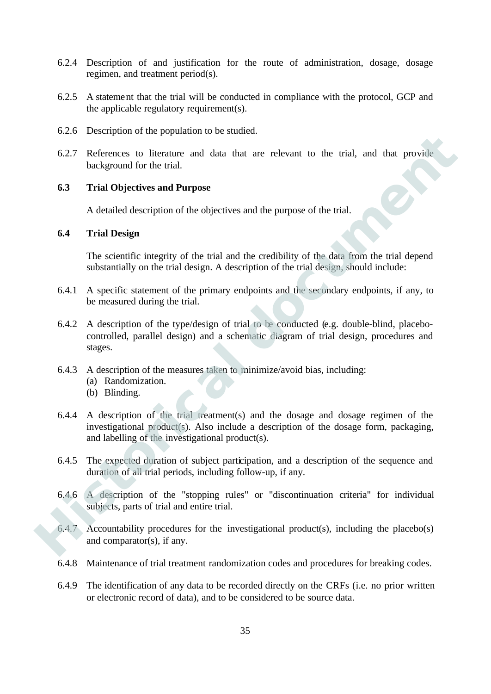- 6.2.4 Description of and justification for the route of administration, dosage, dosage regimen, and treatment period(s).
- 6.2.5 A statement that the trial will be conducted in compliance with the protocol, GCP and the applicable regulatory requirement(s).
- 6.2.6 Description of the population to be studied.
- 6.2.7 References to literature and data that are relevant to the trial, and that provide background for the trial.

### **6.3 Trial Objectives and Purpose**

A detailed description of the objectives and the purpose of the trial.

### **6.4 Trial Design**

The scientific integrity of the trial and the credibility of the data from the trial depend substantially on the trial design. A description of the trial design, should include:

- 6.4.1 A specific statement of the primary endpoints and the secondary endpoints, if any, to be measured during the trial.
- 6.4.2 A description of the type/design of trial to be conducted (e.g. double-blind, placebocontrolled, parallel design) and a schematic diagram of trial design, procedures and stages. 6.2.7 References to literature and data that are relevant to the trial, and that provide<br>background for the trial.<br>
6.3 Trial Objectives and Purpose<br>
A detailed description of the objectives and the purpose of the trial.<br>
	- 6.4.3 A description of the measures taken to minimize/avoid bias, including:
		- (a) Randomization.
		- (b) Blinding.
	- 6.4.4 A description of the trial treatment(s) and the dosage and dosage regimen of the investigational product(s). Also include a description of the dosage form, packaging, and labelling of the investigational product(s).
	- 6.4.5 The expected duration of subject participation, and a description of the sequence and duration of all trial periods, including follow-up, if any.
	- 6.4.6 A description of the "stopping rules" or "discontinuation criteria" for individual subjects, parts of trial and entire trial.
	- $6.4.7$  Accountability procedures for the investigational product(s), including the placebo(s) and comparator(s), if any.
	- 6.4.8 Maintenance of trial treatment randomization codes and procedures for breaking codes.
	- 6.4.9 The identification of any data to be recorded directly on the CRFs (i.e. no prior written or electronic record of data), and to be considered to be source data.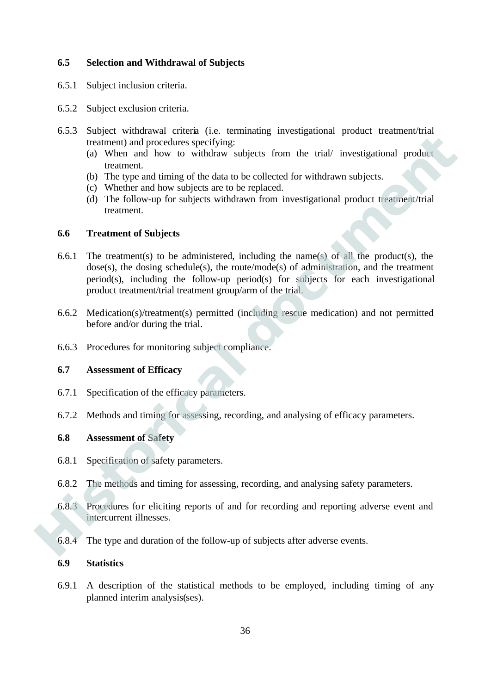### **6.5 Selection and Withdrawal of Subjects**

- 6.5.1 Subject inclusion criteria.
- 6.5.2 Subject exclusion criteria.
- 6.5.3 Subject withdrawal criteria (i.e. terminating investigational product treatment/trial treatment) and procedures specifying:
	- (a) When and how to withdraw subjects from the trial/ investigational product treatment.
	- (b) The type and timing of the data to be collected for withdrawn subjects.
	- (c) Whether and how subjects are to be replaced.
	- (d) The follow-up for subjects withdrawn from investigational product treatment/trial treatment.

### **6.6 Treatment of Subjects**

- 6.6.1 The treatment(s) to be administered, including the name(s) of all the product(s), the dose(s), the dosing schedule(s), the route/mode(s) of administration, and the treatment period(s), including the follow-up period(s) for subjects for each investigational product treatment/trial treatment group/arm of the trial. treatment) and procedures specifying:<br>
(a) When and how to withdraw subjects from the trial/ investigational product<br>
(b) The type and timing of the data to be collected for withdrawn subjects.<br>
(c) Whether and how subjec
	- 6.6.2 Medication(s)/treatment(s) permitted (including rescue medication) and not permitted before and/or during the trial.
	- 6.6.3 Procedures for monitoring subject compliance.

### **6.7 Assessment of Efficacy**

- 6.7.1 Specification of the efficacy parameters.
- 6.7.2 Methods and timing for assessing, recording, and analysing of efficacy parameters.

### **6.8 Assessment of Safety**

- 6.8.1 Specification of safety parameters.
- 6.8.2 The methods and timing for assessing, recording, and analysing safety parameters.
- 6.8.3 Procedures for eliciting reports of and for recording and reporting adverse event and intercurrent illnesses.
- 6.8.4 The type and duration of the follow-up of subjects after adverse events.

### **6.9 Statistics**

6.9.1 A description of the statistical methods to be employed, including timing of any planned interim analysis(ses).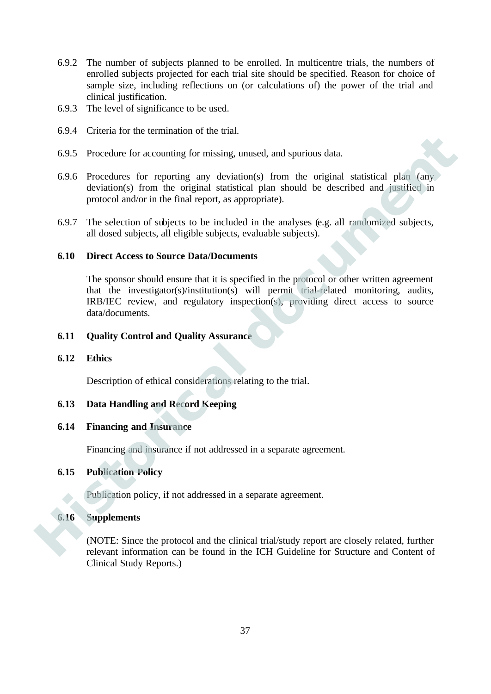- 6.9.2 The number of subjects planned to be enrolled. In multicentre trials, the numbers of enrolled subjects projected for each trial site should be specified. Reason for choice of sample size, including reflections on (or calculations of) the power of the trial and clinical justification.
- 6.9.3 The level of significance to be used.
- 6.9.4 Criteria for the termination of the trial.
- 6.9.5 Procedure for accounting for missing, unused, and spurious data.
- 6.9.6 Procedures for reporting any deviation(s) from the original statistical plan (any) deviation(s) from the original statistical plan should be described and justified in protocol and/or in the final report, as appropriate).
- 6.9.7 The selection of subjects to be included in the analyses (e.g. all randomized subjects, all dosed subjects, all eligible subjects, evaluable subjects).

### **6.10 Direct Access to Source Data/Documents**

The sponsor should ensure that it is specified in the protocol or other written agreement that the investigator(s)/institution(s) will permit trial-related monitoring, audits, IRB/IEC review, and regulatory inspection(s), providing direct access to source data/documents. 6.9.5 Procedure for accounting for missing, unused, and spurious data.<br>
6.9.6 Procedures for reporting any deviation(s) from the original statistical plan (any deviation(s) from the original statistical plan should probab

### **6.11 Quality Control and Quality Assurance**

### **6.12 Ethics**

Description of ethical considerations relating to the trial.

### **6.13 Data Handling and Record Keeping**

### **6.14 Financing and Insurance**

Financing and insurance if not addressed in a separate agreement.

### **6.15 Publication Policy**

Publication policy, if not addressed in a separate agreement.

### **6.16 Supplements**

(NOTE: Since the protocol and the clinical trial/study report are closely related, further relevant information can be found in the ICH Guideline for Structure and Content of Clinical Study Reports.)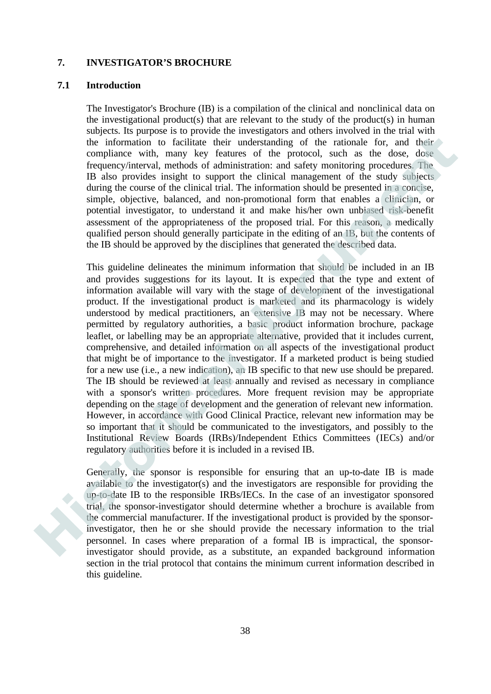### <span id="page-37-0"></span>**7. INVESTIGATOR'S BROCHURE**

### **7.1 Introduction**

The Investigator's Brochure (IB) is a compilation of the clinical and nonclinical data on the investigational product(s) that are relevant to the study of the product(s) in human subjects. Its purpose is to provide the investigators and others involved in the trial with the information to facilitate their understanding of the rationale for, and their compliance with, many key features of the protocol, such as the dose, dose frequency/interval, methods of administration: and safety monitoring procedures. The IB also provides insight to support the clinical management of the study subjects during the course of the clinical trial. The information should be presented in a concise, simple, objective, balanced, and non-promotional form that enables a clinician, or potential investigator, to understand it and make his/her own unbiased risk-benefit assessment of the appropriateness of the proposed trial. For this reason, a medically qualified person should generally participate in the editing of an IB, but the contents of the IB should be approved by the disciplines that generated the described data.

This guideline delineates the minimum information that should be included in an IB and provides suggestions for its layout. It is expected that the type and extent of information available will vary with the stage of development of the investigational product. If the investigational product is marketed and its pharmacology is widely understood by medical practitioners, an extensive IB may not be necessary. Where permitted by regulatory authorities, a basic product information brochure, package leaflet, or labelling may be an appropriate alternative, provided that it includes current, comprehensive, and detailed information on all aspects of the investigational product that might be of importance to the investigator. If a marketed product is being studied for a new use (i.e., a new indication), an IB specific to that new use should be prepared. The IB should be reviewed at least annually and revised as necessary in compliance with a sponsor's written procedures. More frequent revision may be appropriate depending on the stage of development and the generation of relevant new information. However, in accordance with Good Clinical Practice, relevant new information may be so important that it should be communicated to the investigators, and possibly to the Institutional Review Boards (IRBs)/Independent Ethics Committees (IECs) and/or regulatory authorities before it is included in a revised IB. the information to facilitate their understanding of the rational for, and their experimenesy of the protocol, such as the close reapposite reapposite reapposite the protocol, such as the close reapposite reapposite and s

Generally, the sponsor is responsible for ensuring that an up-to-date IB is made available to the investigator(s) and the investigators are responsible for providing the up-to-date IB to the responsible IRBs/IECs. In the case of an investigator sponsored trial, the sponsor-investigator should determine whether a brochure is available from the commercial manufacturer. If the investigational product is provided by the sponsorinvestigator, then he or she should provide the necessary information to the trial personnel. In cases where preparation of a formal IB is impractical, the sponsorinvestigator should provide, as a substitute, an expanded background information section in the trial protocol that contains the minimum current information described in this guideline.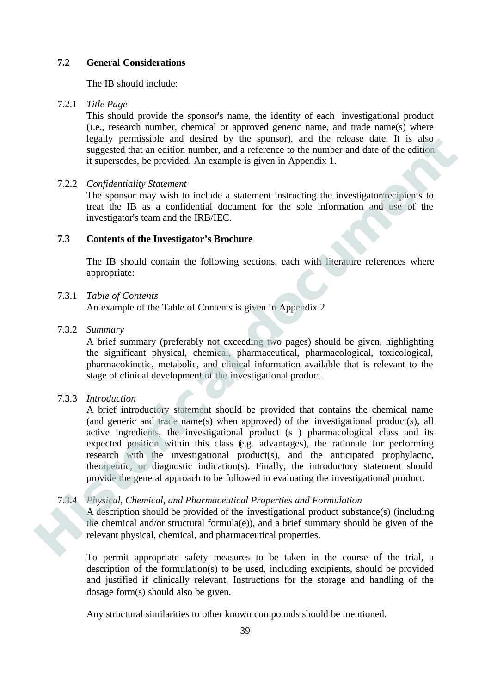### **7.2 General Considerations**

The IB should include:

### 7.2.1 *Title Page*

This should provide the sponsor's name, the identity of each investigational product (i.e., research number, chemical or approved generic name, and trade name(s) where legally permissible and desired by the sponsor), and the release date. It is also suggested that an edition number, and a reference to the number and date of the edition it supersedes, be provided. An example is given in Appendix 1.

### 7.2.2 *Confidentiality Statement*

The sponsor may wish to include a statement instructing the investigator/recipients to treat the IB as a confidential document for the sole information and use of the investigator's team and the IRB/IEC.

### **7.3 Contents of the Investigator's Brochure**

The IB should contain the following sections, each with literature references where appropriate:

7.3.1 *Table of Contents*

An example of the Table of Contents is given in Appendix 2

7.3.2 *Summary*

A brief summary (preferably not exceeding two pages) should be given, highlighting the significant physical, chemical, pharmaceutical, pharmacological, toxicological, pharmacokinetic, metabolic, and clinical information available that is relevant to the stage of clinical development of the investigational product.

### 7.3.3 *Introduction*

A brief introductory statement should be provided that contains the chemical name (and generic and trade name(s) when approved) of the investigational product(s), all active ingredients, the investigational product (s ) pharmacological class and its expected position within this class  $(e.g.$  advantages), the rationale for performing research with the investigational product(s), and the anticipated prophylactic, therapeutic, or diagnostic indication(s). Finally, the introductory statement should provide the general approach to be followed in evaluating the investigational product. Equily pennissible and desired by the sponsor), and the release date. It is also<br>suggested that an edition number, and a reference to the number and due of the edition<br>is uspected, be provided. An example is given in Appe

### 7.3.4 *Physical, Chemical, and Pharmaceutical Properties and Formulation*

A description should be provided of the investigational product substance(s) (including the chemical and/or structural formula(e)), and a brief summary should be given of the relevant physical, chemical, and pharmaceutical properties.

To permit appropriate safety measures to be taken in the course of the trial, a description of the formulation(s) to be used, including excipients, should be provided and justified if clinically relevant. Instructions for the storage and handling of the dosage form(s) should also be given.

Any structural similarities to other known compounds should be mentioned.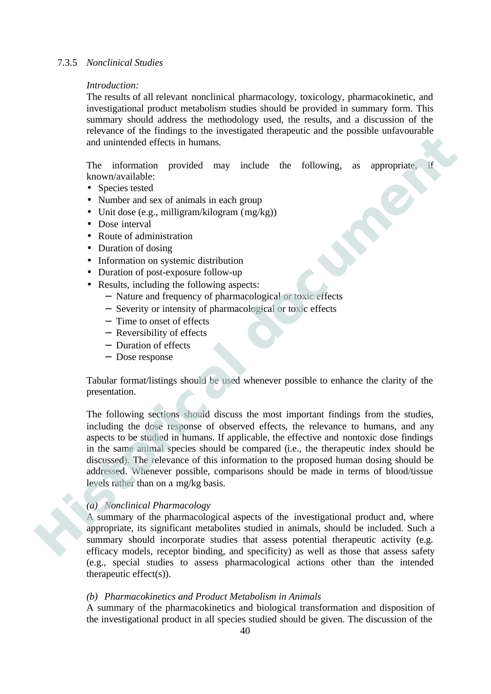### 7.3.5 *Nonclinical Studies*

### *Introduction:*

The results of all relevant nonclinical pharmacology, toxicology, pharmacokinetic, and investigational product metabolism studies should be provided in summary form. This summary should address the methodology used, the results, and a discussion of the relevance of the findings to the investigated therapeutic and the possible unfavourable and unintended effects in humans.

The information provided may include the following, as appropriate, if known/available:

- Species tested
- Number and sex of animals in each group
- Unit dose (e.g., milligram/kilogram (mg/kg))
- Dose interval
- Route of administration
- Duration of dosing
- Information on systemic distribution
- Duration of post-exposure follow-up
- Results, including the following aspects:
	- − Nature and frequency of pharmacological or toxic effects
	- − Severity or intensity of pharmacological or toxic effects
	- − Time to onset of effects
	- − Reversibility of effects
	- − Duration of effects
	- − Dose response

Tabular format/listings should be used whenever possible to enhance the clarity of the presentation.

The following sections should discuss the most important findings from the studies, including the dose response of observed effects, the relevance to humans, and any aspects to be studied in humans. If applicable, the effective and nontoxic dose findings in the same animal species should be compared (i.e., the therapeutic index should be discussed). The relevance of this information to the proposed human dosing should be addressed. Whenever possible, comparisons should be made in terms of blood/tissue levels rather than on a mg/kg basis. and unintended effects in humans.<br>
The information provided may include the following, as appropriate if<br>
known/available:<br>
• Species tested<br>
• Number and sex of animals in each group<br>
• Unit dose (e.g., milligram/kilogra

### *(a) Nonclinical Pharmacology*

A summary of the pharmacological aspects of the investigational product and, where appropriate, its significant metabolites studied in animals, should be included. Such a summary should incorporate studies that assess potential therapeutic activity (e.g. efficacy models, receptor binding, and specificity) as well as those that assess safety (e.g., special studies to assess pharmacological actions other than the intended therapeutic effect(s)).

### *(b) Pharmacokinetics and Product Metabolism in Animals*

A summary of the pharmacokinetics and biological transformation and disposition of the investigational product in all species studied should be given. The discussion of the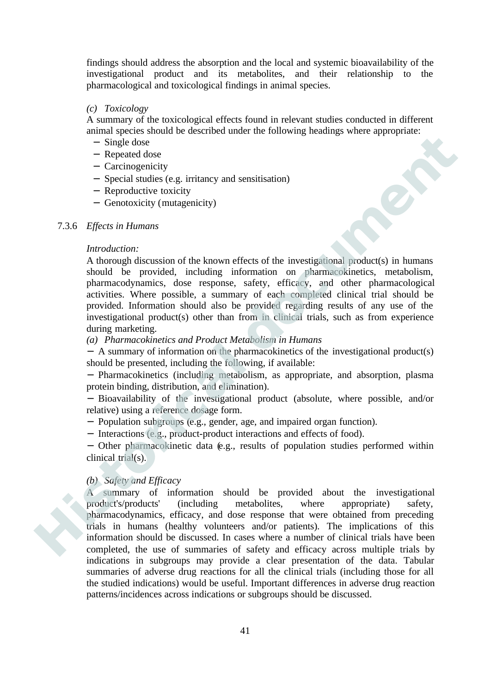findings should address the absorption and the local and systemic bioavailability of the investigational product and its metabolites, and their relationship to the pharmacological and toxicological findings in animal species.

### *(c) Toxicology*

A summary of the toxicological effects found in relevant studies conducted in different animal species should be described under the following headings where appropriate:

- − Single dose
- − Repeated dose
- − Carcinogenicity
- − Special studies (e.g. irritancy and sensitisation)
- − Reproductive toxicity
- − Genotoxicity (mutagenicity)

### 7.3.6 *Effects in Humans*

### *Introduction:*

A thorough discussion of the known effects of the investigational product(s) in humans should be provided, including information on pharmacokinetics, metabolism, pharmacodynamics, dose response, safety, efficacy, and other pharmacological activities. Where possible, a summary of each completed clinical trial should be provided. Information should also be provided regarding results of any use of the investigational product(s) other than from in clinical trials, such as from experience during marketing. - Single doce<br>
- Repetat doce<br>
- Carcinogenicity<br>
- Special studies (e.g. irrinary and sensitisation)<br>
- Reproductive towicity<br>
- Genotoxicity (mangemeirity)<br>
- Genotoxicity (mangemeirity)<br>
- Genotoxicity (mangemeirity)<br>

### *(a) Pharmacokinetics and Product Metabolism in Humans*

− A summary of information on the pharmacokinetics of the investigational product(s) should be presented, including the following, if available:

− Pharmacokinetics (including metabolism, as appropriate, and absorption, plasma protein binding, distribution, and elimination).

− Bioavailability of the investigational product (absolute, where possible, and/or relative) using a reference dosage form.

- − Population subgroups (e.g., gender, age, and impaired organ function).
- − Interactions (e.g., product-product interactions and effects of food).

− Other pharmacokinetic data (e.g., results of population studies performed within clinical trial(s).

### *(b) Safety and Efficacy*

A summary of information should be provided about the investigational product's/products' (including metabolites, where appropriate) safety, pharmacodynamics, efficacy, and dose response that were obtained from preceding trials in humans (healthy volunteers and/or patients). The implications of this information should be discussed. In cases where a number of clinical trials have been completed, the use of summaries of safety and efficacy across multiple trials by indications in subgroups may provide a clear presentation of the data. Tabular summaries of adverse drug reactions for all the clinical trials (including those for all the studied indications) would be useful. Important differences in adverse drug reaction patterns/incidences across indications or subgroups should be discussed.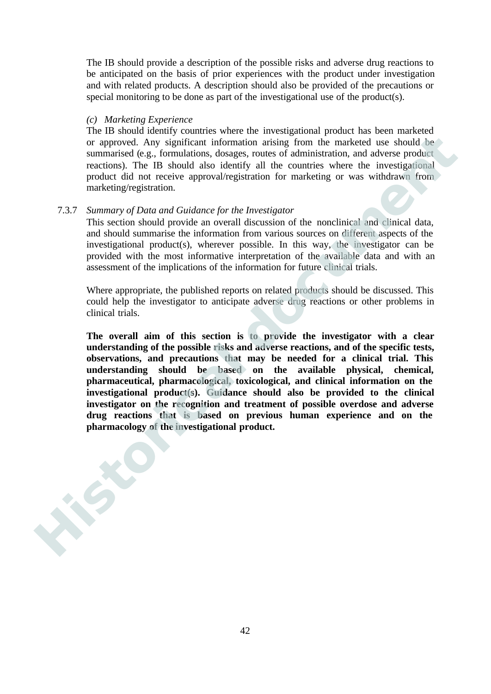The IB should provide a description of the possible risks and adverse drug reactions to be anticipated on the basis of prior experiences with the product under investigation and with related products. A description should also be provided of the precautions or special monitoring to be done as part of the investigational use of the product(s).

### *(c) Marketing Experience*

The IB should identify countries where the investigational product has been marketed or approved. Any significant information arising from the marketed use should be summarised (e.g., formulations, dosages, routes of administration, and adverse product reactions). The IB should also identify all the countries where the investigational product did not receive approval/registration for marketing or was withdrawn from marketing/registration.

### 7.3.7 *Summary of Data and Guidance for the Investigator*

This section should provide an overall discussion of the nonclinical and clinical data, and should summarise the information from various sources on different aspects of the investigational product(s), wherever possible. In this way, the investigator can be provided with the most informative interpretation of the available data and with an assessment of the implications of the information for future clinical trials.

Where appropriate, the published reports on related products should be discussed. This could help the investigator to anticipate adverse drug reactions or other problems in clinical trials.

**The overall aim of this section is to provide the investigator with a clear understanding of the possible risks and adverse reactions, and of the specific tests, observations, and precautions that may be needed for a clinical trial. This understanding should be based on the available physical, chemical, pharmaceutical, pharmacological, toxicological, and clinical information on the investigational product(s). Guidance should also be provided to the clinical investigator on the recognition and treatment of possible overdose and adverse drug reactions that is based on previous human experience and on the pharmacology of the investigational product.** or approach. Any significant information arising from the marked use should be stated<br>summarised (e.g., formulations, dosages, routes of administration, and adverse product<br>reactions). The IB should also identify all the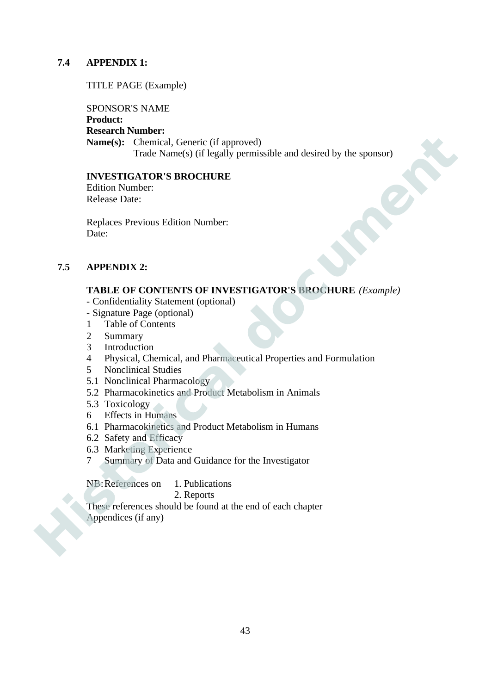### **7.4 APPENDIX 1:**

TITLE PAGE (Example)

SPONSOR'S NAME **Product: Research Number: Name(s):** Chemical, Generic (if approved)

Trade Name(s) (if legally permissible and desired by the sponsor)

### **INVESTIGATOR'S BROCHURE**

Edition Number: Release Date:

Replaces Previous Edition Number: Date:

### **7.5 APPENDIX 2:**

### **TABLE OF CONTENTS OF INVESTIGATOR'S BROCHURE** *(Example)*

- Confidentiality Statement (optional)
- Signature Page (optional)
- 1 Table of Contents
- 2 Summary
- 3 Introduction
- 4 Physical, Chemical, and Pharmaceutical Properties and Formulation
- 5 Nonclinical Studies
- 5.1 Nonclinical Pharmacology
- 5.2 Pharmacokinetics and Product Metabolism in Animals
- 5.3 Toxicology
- 6 Effects in Humans
- 6.1 Pharmacokinetics and Product Metabolism in Humans
- 6.2 Safety and Efficacy
- 6.3 Marketing Experience
- 7 Summary of Data and Guidance for the Investigator

NB: References on 1. Publications

2. Reports

These references should be found at the end of each chapter Appendices (if any) Name(s): Chemrical, Generic (if approved)<br>
Trade Name(s) (if legally permissible and desired by the sponsor)<br>
INVESTIGATOR'S BROCHURE<br>
Edition Number:<br>
Replaces Previous Edition Number:<br>
ARBLE OF CONTENTS OF INVESTIGATOR'S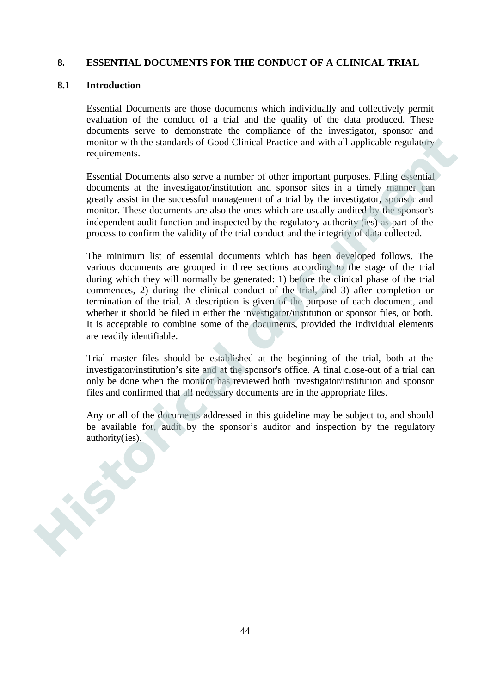### <span id="page-43-0"></span>**8. ESSENTIAL DOCUMENTS FOR THE CONDUCT OF A CLINICAL TRIAL**

### **8.1 Introduction**

Essential Documents are those documents which individually and collectively permit evaluation of the conduct of a trial and the quality of the data produced. These documents serve to demonstrate the compliance of the investigator, sponsor and monitor with the standards of Good Clinical Practice and with all applicable regulatory requirements.

Essential Documents also serve a number of other important purposes. Filing essential documents at the investigator/institution and sponsor sites in a timely manner can greatly assist in the successful management of a trial by the investigator, sponsor and monitor. These documents are also the ones which are usually audited by the sponsor's independent audit function and inspected by the regulatory authority (ies) as part of the process to confirm the validity of the trial conduct and the integrity of data collected.

The minimum list of essential documents which has been developed follows. The various documents are grouped in three sections according to the stage of the trial during which they will normally be generated: 1) before the clinical phase of the trial commences, 2) during the clinical conduct of the trial, and 3) after completion or termination of the trial. A description is given of the purpose of each document, and whether it should be filed in either the investigator/institution or sponsor files, or both. It is acceptable to combine some of the documents, provided the individual elements are readily identifiable. monior with the standards of Good Clinical Practice and with all applicable regulatory<br>requirements.<br>
Essencial Documents also serve a number of other important purposes. Filing essential<br>
documents at the investigatoriza

Trial master files should be established at the beginning of the trial, both at the investigator/institution's site and at the sponsor's office. A final close-out of a trial can only be done when the monitor has reviewed both investigator/institution and sponsor files and confirmed that all necessary documents are in the appropriate files.

Any or all of the documents addressed in this guideline may be subject to, and should be available for, audit by the sponsor's auditor and inspection by the regulatory authority(ies).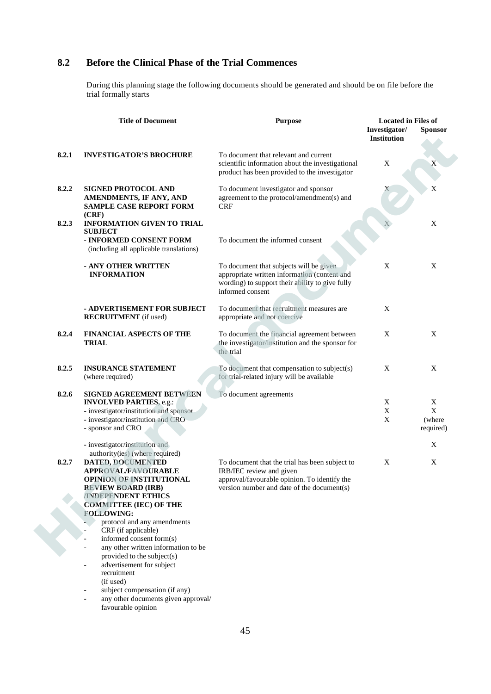### **8.2 Before the Clinical Phase of the Trial Commences**

During this planning stage the following documents should be generated and should be on file before the trial formally starts

|       | <b>Title of Document</b>                                                                                                                                                                                                                                                                                                                                                                                                                                                                              | <b>Purpose</b>                                                                                                                                                           | <b>Located in Files of</b><br>Investigator/<br>Institution | <b>Sponsor</b>           |
|-------|-------------------------------------------------------------------------------------------------------------------------------------------------------------------------------------------------------------------------------------------------------------------------------------------------------------------------------------------------------------------------------------------------------------------------------------------------------------------------------------------------------|--------------------------------------------------------------------------------------------------------------------------------------------------------------------------|------------------------------------------------------------|--------------------------|
| 8.2.1 | <b>INVESTIGATOR'S BROCHURE</b>                                                                                                                                                                                                                                                                                                                                                                                                                                                                        | To document that relevant and current<br>scientific information about the investigational<br>product has been provided to the investigator                               | X                                                          | X                        |
| 8.2.2 | SIGNED PROTOCOL AND<br>AMENDMENTS, IF ANY, AND<br><b>SAMPLE CASE REPORT FORM</b><br>(CRF)                                                                                                                                                                                                                                                                                                                                                                                                             | To document investigator and sponsor<br>agreement to the protocol/amendment(s) and<br><b>CRF</b>                                                                         |                                                            | X                        |
| 8.2.3 | <b>INFORMATION GIVEN TO TRIAL</b><br><b>SUBJECT</b><br>- INFORMED CONSENT FORM<br>(including all applicable translations)                                                                                                                                                                                                                                                                                                                                                                             | To document the informed consent                                                                                                                                         |                                                            | X                        |
|       | - ANY OTHER WRITTEN<br><b>INFORMATION</b>                                                                                                                                                                                                                                                                                                                                                                                                                                                             | To document that subjects will be given<br>appropriate written information (content and<br>wording) to support their ability to give fully<br>informed consent           | X                                                          | X                        |
|       | - ADVERTISEMENT FOR SUBJECT<br><b>RECRUITMENT</b> (if used)                                                                                                                                                                                                                                                                                                                                                                                                                                           | To document that recruitment measures are<br>appropriate and not coercive                                                                                                | X                                                          |                          |
| 8.2.4 | <b>FINANCIAL ASPECTS OF THE</b><br><b>TRIAL</b>                                                                                                                                                                                                                                                                                                                                                                                                                                                       | To document the financial agreement between<br>the investigator/institution and the sponsor for<br>the trial                                                             | X                                                          | X                        |
| 8.2.5 | <b>INSURANCE STATEMENT</b><br>(where required)                                                                                                                                                                                                                                                                                                                                                                                                                                                        | To document that compensation to subject(s)<br>for trial-related injury will be available                                                                                | X                                                          | X                        |
| 8.2.6 | <b>SIGNED AGREEMENT BETWEEN</b>                                                                                                                                                                                                                                                                                                                                                                                                                                                                       | To document agreements                                                                                                                                                   |                                                            |                          |
|       | <b>INVOLVED PARTIES, e.g.:</b>                                                                                                                                                                                                                                                                                                                                                                                                                                                                        |                                                                                                                                                                          | X                                                          | X                        |
|       | - investigator/institution and sponsor<br>- investigator/institution and CRO<br>- sponsor and CRO                                                                                                                                                                                                                                                                                                                                                                                                     |                                                                                                                                                                          | X<br>X                                                     | X<br>(where<br>required) |
|       | - investigator/institution and<br>authority(ies) (where required)                                                                                                                                                                                                                                                                                                                                                                                                                                     |                                                                                                                                                                          |                                                            | X                        |
| 8.2.7 | DATED, DOCUMENTED<br><b>APPROVAL/FAVOURABLE</b><br>OPINION OF INSTITUTIONAL<br><b>REVIEW BOARD (IRB)</b><br><b>INDEPENDENT ETHICS</b><br><b>COMMITTEE (IEC) OF THE</b><br><b>FOLLOWING:</b><br>protocol and any amendments<br>CRF (if applicable)<br>informed consent form(s)<br>any other written information to be<br>provided to the subject(s)<br>advertisement for subject<br>$\overline{a}$<br>recruitment<br>(if used)<br>subject compensation (if any)<br>any other documents given approval/ | To document that the trial has been subject to<br>IRB/IEC review and given<br>approval/favourable opinion. To identify the<br>version number and date of the document(s) | X                                                          | X                        |
|       | favourable opinion                                                                                                                                                                                                                                                                                                                                                                                                                                                                                    |                                                                                                                                                                          |                                                            |                          |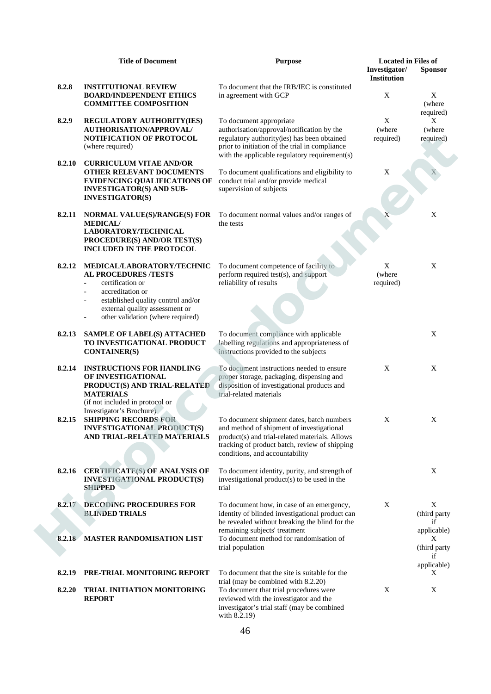|        | <b>Title of Document</b>                                                                                                                                                                                                                   | <b>Purpose</b>                                                                                                                                                                                                              | <b>Located in Files of</b><br>Investigator/<br>Institution | <b>Sponsor</b>                         |
|--------|--------------------------------------------------------------------------------------------------------------------------------------------------------------------------------------------------------------------------------------------|-----------------------------------------------------------------------------------------------------------------------------------------------------------------------------------------------------------------------------|------------------------------------------------------------|----------------------------------------|
| 8.2.8  | <b>INSTITUTIONAL REVIEW</b><br><b>BOARD/INDEPENDENT ETHICS</b><br><b>COMMITTEE COMPOSITION</b>                                                                                                                                             | To document that the IRB/IEC is constituted<br>in agreement with GCP                                                                                                                                                        | X                                                          | X<br>(where<br>required)               |
| 8.2.9  | <b>REGULATORY AUTHORITY(IES)</b><br>AUTHORISATION/APPROVAL/<br>NOTIFICATION OF PROTOCOL<br>(where required)                                                                                                                                | To document appropriate<br>authorisation/approval/notification by the<br>regulatory authority(ies) has been obtained<br>prior to initiation of the trial in compliance<br>with the applicable regulatory requirement(s)     | X<br>(where)<br>required)                                  | X<br>(where<br>required)               |
| 8.2.10 | <b>CURRICULUM VITAE AND/OR</b><br><b>OTHER RELEVANT DOCUMENTS</b><br><b>EVIDENCING QUALIFICATIONS OF</b><br><b>INVESTIGATOR(S) AND SUB-</b><br><b>INVESTIGATOR(S)</b>                                                                      | To document qualifications and eligibility to<br>conduct trial and/or provide medical<br>supervision of subjects                                                                                                            | X                                                          |                                        |
| 8.2.11 | <b>NORMAL VALUE(S)/RANGE(S) FOR</b><br><b>MEDICAL/</b><br><b>LABORATORY/TECHNICAL</b><br>PROCEDURE(S) AND/OR TEST(S)<br><b>INCLUDED IN THE PROTOCOL</b>                                                                                    | To document normal values and/or ranges of<br>the tests                                                                                                                                                                     | Χ                                                          | $\mathbf X$                            |
| 8.2.12 | MEDICAL/LABORATORY/TECHNIC<br><b>AL PROCEDURES /TESTS</b><br>certification or<br>$\overline{\phantom{a}}$<br>accreditation or<br>established quality control and/or<br>external quality assessment or<br>other validation (where required) | To document competence of facility to<br>perform required test(s), and support<br>reliability of results                                                                                                                    | X<br>(where<br>required)                                   | X                                      |
| 8.2.13 | SAMPLE OF LABEL(S) ATTACHED<br>TO INVESTIGATIONAL PRODUCT<br><b>CONTAINER(S)</b>                                                                                                                                                           | To document compliance with applicable<br>labelling regulations and appropriateness of<br>instructions provided to the subjects                                                                                             |                                                            | X                                      |
| 8.2.14 | <b>INSTRUCTIONS FOR HANDLING</b><br>OF INVESTIGATIONAL<br>PRODUCT(S) AND TRIAL-RELATED<br><b>MATERIALS</b><br>(if not included in protocol or                                                                                              | To document instructions needed to ensure<br>proper storage, packaging, dispensing and<br>disposition of investigational products and<br>trial-related materials                                                            | X                                                          | X                                      |
| 8.2.15 | Investigator's Brochure)<br><b>SHIPPING RECORDS FOR</b><br><b>INVESTIGATIONAL PRODUCT(S)</b><br>AND TRIAL-RELATED MATERIALS                                                                                                                | To document shipment dates, batch numbers<br>and method of shipment of investigational<br>product(s) and trial-related materials. Allows<br>tracking of product batch, review of shipping<br>conditions, and accountability | X                                                          | X                                      |
| 8.2.16 | <b>CERTIFICATE(S) OF ANALYSIS OF</b><br><b>INVESTIGATIONAL PRODUCT(S)</b><br><b>SHIPPED</b>                                                                                                                                                | To document identity, purity, and strength of<br>investigational product(s) to be used in the<br>trial                                                                                                                      |                                                            | X                                      |
| 8.2.17 | <b>DECODING PROCEDURES FOR</b><br><b>BLINDED TRIALS</b>                                                                                                                                                                                    | To document how, in case of an emergency,<br>identity of blinded investigational product can<br>be revealed without breaking the blind for the<br>remaining subjects' treatment                                             | X                                                          | X<br>(third party<br>if<br>applicable) |
| 8.2.18 | <b>MASTER RANDOMISATION LIST</b>                                                                                                                                                                                                           | To document method for randomisation of<br>trial population                                                                                                                                                                 |                                                            | X<br>(third party<br>if<br>applicable) |
| 8.2.19 | PRE-TRIAL MONITORING REPORT                                                                                                                                                                                                                | To document that the site is suitable for the<br>trial (may be combined with 8.2.20)                                                                                                                                        |                                                            | X                                      |
| 8.2.20 | <b>TRIAL INITIATION MONITORING</b><br><b>REPORT</b>                                                                                                                                                                                        | To document that trial procedures were<br>reviewed with the investigator and the<br>investigator's trial staff (may be combined<br>with 8.2.19)                                                                             | X                                                          | Χ                                      |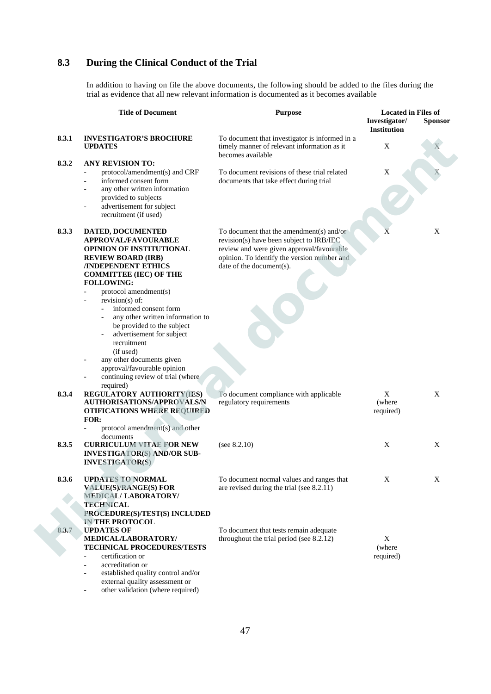### **8.3 During the Clinical Conduct of the Trial**

In addition to having on file the above documents, the following should be added to the files during the trial as evidence that all new relevant information is documented as it becomes available

|       | <b>Title of Document</b>                                                                                                                                                                                                                                                                                                                                                                                                                                              | <b>Purpose</b>                                                                                                                                                                                               | <b>Located in Files of</b><br>Investigator/<br><b>Institution</b> | <b>Sponsor</b> |
|-------|-----------------------------------------------------------------------------------------------------------------------------------------------------------------------------------------------------------------------------------------------------------------------------------------------------------------------------------------------------------------------------------------------------------------------------------------------------------------------|--------------------------------------------------------------------------------------------------------------------------------------------------------------------------------------------------------------|-------------------------------------------------------------------|----------------|
| 8.3.1 | <b>INVESTIGATOR'S BROCHURE</b><br><b>UPDATES</b>                                                                                                                                                                                                                                                                                                                                                                                                                      | To document that investigator is informed in a<br>timely manner of relevant information as it<br>becomes available                                                                                           | X                                                                 |                |
| 8.3.2 | <b>ANY REVISION TO:</b>                                                                                                                                                                                                                                                                                                                                                                                                                                               |                                                                                                                                                                                                              |                                                                   |                |
|       | protocol/amendment(s) and CRF<br>informed consent form<br>any other written information<br>provided to subjects<br>advertisement for subject                                                                                                                                                                                                                                                                                                                          | To document revisions of these trial related<br>documents that take effect during trial                                                                                                                      | $\mathbf X$                                                       |                |
|       | recruitment (if used)                                                                                                                                                                                                                                                                                                                                                                                                                                                 |                                                                                                                                                                                                              |                                                                   |                |
| 8.3.3 | DATED, DOCUMENTED<br><b>APPROVAL/FAVOURABLE</b><br>OPINION OF INSTITUTIONAL<br><b>REVIEW BOARD (IRB)</b><br><b>INDEPENDENT ETHICS</b><br><b>COMMITTEE (IEC) OF THE</b><br><b>FOLLOWING:</b><br>protocol amendment(s)<br>$revision(s)$ of:<br>informed consent form<br>$\equiv$<br>any other written information to<br>be provided to the subject<br>advertisement for subject<br>recruitment<br>(if used)<br>any other documents given<br>approval/favourable opinion | To document that the amendment(s) and/or<br>revision(s) have been subject to IRB/IEC<br>review and were given approval/favourable<br>opinion. To identify the version number and<br>date of the document(s). | X                                                                 | X              |
|       | continuing review of trial (where<br>required)                                                                                                                                                                                                                                                                                                                                                                                                                        |                                                                                                                                                                                                              |                                                                   |                |
| 8.3.4 | <b>REGULATORY AUTHORITY(IES)</b><br><b>AUTHORISATIONS/APPROVALS/N</b><br><b>OTIFICATIONS WHERE REQUIRED</b><br>FOR:<br>protocol amendment(s) and other<br>documents                                                                                                                                                                                                                                                                                                   | To document compliance with applicable<br>regulatory requirements                                                                                                                                            | X<br>(where)<br>required)                                         | X              |
| 8.3.5 | <b>CURRICULUM VITAE FOR NEW</b><br><b>INVESTIGATOR(S) AND/OR SUB-</b><br><b>INVESTIGATOR(S)</b>                                                                                                                                                                                                                                                                                                                                                                       | (see $8.2.10$ )                                                                                                                                                                                              | X                                                                 | X              |
| 8.3.6 | <b>UPDATES TO NORMAL</b><br><b>VALUE(S)/RANGE(S) FOR</b><br><b>MEDICAL/ LABORATORY/</b><br><b>TECHNICAL</b><br>PROCEDURE(S)/TEST(S) INCLUDED<br><b>IN THE PROTOCOL</b>                                                                                                                                                                                                                                                                                                | To document normal values and ranges that<br>are revised during the trial (see 8.2.11)                                                                                                                       | X                                                                 | X              |
| 8.3.7 | <b>UPDATES OF</b><br>MEDICAL/LABORATORY/<br><b>TECHNICAL PROCEDURES/TESTS</b><br>certification or<br>$\overline{a}$<br>accreditation or<br>$\overline{a}$<br>established quality control and/or<br>$\overline{\phantom{0}}$<br>external quality assessment or<br>other validation (where required)<br>$\overline{\phantom{a}}$                                                                                                                                        | To document that tests remain adequate<br>throughout the trial period (see 8.2.12)                                                                                                                           | X<br>(where<br>required)                                          |                |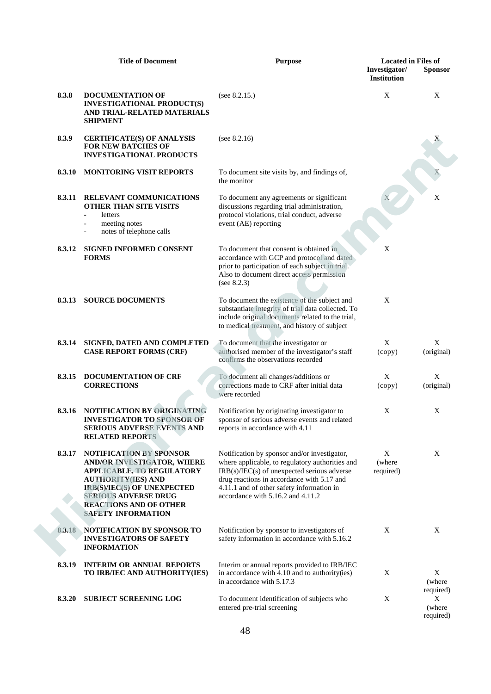|        | <b>Title of Document</b>                                                                                                                                                                                                                                  | <b>Purpose</b>                                                                                                                                                                                                                                                                     | <b>Located in Files of</b><br>Investigator/<br><b>Institution</b> | <b>Sponsor</b>            |
|--------|-----------------------------------------------------------------------------------------------------------------------------------------------------------------------------------------------------------------------------------------------------------|------------------------------------------------------------------------------------------------------------------------------------------------------------------------------------------------------------------------------------------------------------------------------------|-------------------------------------------------------------------|---------------------------|
| 8.3.8  | DOCUMENTATION OF<br><b>INVESTIGATIONAL PRODUCT(S)</b><br>AND TRIAL-RELATED MATERIALS<br><b>SHIPMENT</b>                                                                                                                                                   | (see $8.2.15$ .)                                                                                                                                                                                                                                                                   | X                                                                 | X                         |
| 8.3.9  | <b>CERTIFICATE(S) OF ANALYSIS</b><br><b>FOR NEW BATCHES OF</b><br><b>INVESTIGATIONAL PRODUCTS</b>                                                                                                                                                         | (see $8.2.16$ )                                                                                                                                                                                                                                                                    |                                                                   | X                         |
| 8.3.10 | <b>MONITORING VISIT REPORTS</b>                                                                                                                                                                                                                           | To document site visits by, and findings of,<br>the monitor                                                                                                                                                                                                                        |                                                                   | $\boldsymbol{\mathrm{X}}$ |
| 8.3.11 | <b>RELEVANT COMMUNICATIONS</b><br><b>OTHER THAN SITE VISITS</b><br>letters<br>meeting notes<br>notes of telephone calls                                                                                                                                   | To document any agreements or significant<br>discussions regarding trial administration,<br>protocol violations, trial conduct, adverse<br>event (AE) reporting                                                                                                                    |                                                                   | X                         |
| 8.3.12 | <b>SIGNED INFORMED CONSENT</b><br><b>FORMS</b>                                                                                                                                                                                                            | To document that consent is obtained in<br>accordance with GCP and protocol and dated<br>prior to participation of each subject in trial.<br>Also to document direct access permission<br>(see $8.2.3$ )                                                                           | X                                                                 |                           |
| 8.3.13 | <b>SOURCE DOCUMENTS</b>                                                                                                                                                                                                                                   | To document the existence of the subject and<br>substantiate integrity of trial data collected. To<br>include original documents related to the trial,<br>to medical treatment, and history of subject                                                                             | X                                                                 |                           |
| 8.3.14 | SIGNED, DATED AND COMPLETED<br><b>CASE REPORT FORMS (CRF)</b>                                                                                                                                                                                             | To document that the investigator or<br>authorised member of the investigator's staff<br>confirms the observations recorded                                                                                                                                                        | X<br>(copy)                                                       | X<br>(original)           |
| 8.3.15 | <b>DOCUMENTATION OF CRF</b><br><b>CORRECTIONS</b>                                                                                                                                                                                                         | To document all changes/additions or<br>corrections made to CRF after initial data<br>were recorded                                                                                                                                                                                | X<br>(copy)                                                       | X<br>(original)           |
| 8.3.16 | NOTIFICATION BY ORIGINATING<br><b>INVESTIGATOR TO SPONSOR OF</b><br><b>SERIOUS ADVERSE EVENTS AND</b><br><b>RELATED REPORTS</b>                                                                                                                           | Notification by originating investigator to<br>sponsor of serious adverse events and related<br>reports in accordance with 4.11                                                                                                                                                    | X                                                                 | X                         |
| 8.3.17 | NOTIFICATION BY SPONSOR<br><b>AND/OR INVESTIGATOR, WHERE</b><br><b>APPLICABLE, TO REGULATORY</b><br><b>AUTHORITY(IES) AND</b><br>IRB(S)/IEC(S) OF UNEXPECTED<br><b>SERIOUS ADVERSE DRUG</b><br><b>REACTIONS AND OF OTHER</b><br><b>SAFETY INFORMATION</b> | Notification by sponsor and/or investigator,<br>where applicable, to regulatory authorities and<br>IRB(s)/IEC(s) of unexpected serious adverse<br>drug reactions in accordance with 5.17 and<br>4.11.1 and of other safety information in<br>accordance with $5.16.2$ and $4.11.2$ | X<br>(where)<br>required)                                         | X                         |
| 8.3.18 | NOTIFICATION BY SPONSOR TO<br><b>INVESTIGATORS OF SAFETY</b><br><b>INFORMATION</b>                                                                                                                                                                        | Notification by sponsor to investigators of<br>safety information in accordance with 5.16.2                                                                                                                                                                                        | X                                                                 | X                         |
| 8.3.19 | <b>INTERIM OR ANNUAL REPORTS</b><br>TO IRB/IEC AND AUTHORITY(IES)                                                                                                                                                                                         | Interim or annual reports provided to IRB/IEC<br>in accordance with 4.10 and to authority(ies)<br>in accordance with 5.17.3                                                                                                                                                        | X                                                                 | X<br>(where<br>required)  |
| 8.3.20 | <b>SUBJECT SCREENING LOG</b>                                                                                                                                                                                                                              | To document identification of subjects who<br>entered pre-trial screening                                                                                                                                                                                                          | X                                                                 | X<br>(where)<br>required) |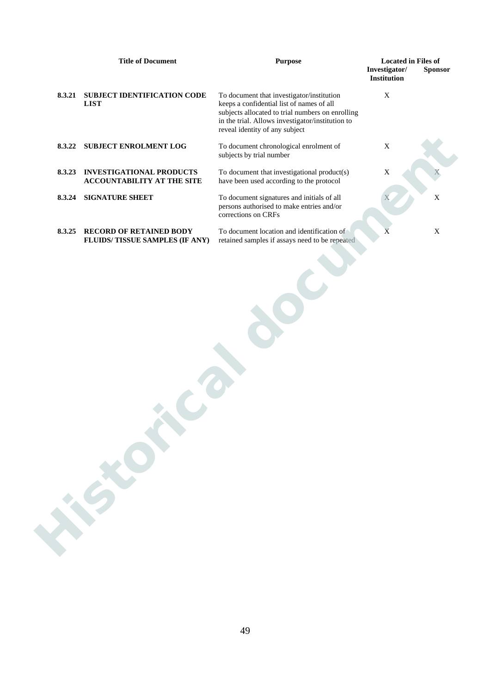|        | <b>Title of Document</b>                                             | <b>Purpose</b>                                                                                                                                                                                                                   | <b>Located in Files of</b><br>Investigator/<br>Institution | Sponsor     |
|--------|----------------------------------------------------------------------|----------------------------------------------------------------------------------------------------------------------------------------------------------------------------------------------------------------------------------|------------------------------------------------------------|-------------|
| 8.3.21 | <b>SUBJECT IDENTIFICATION CODE</b><br><b>LIST</b>                    | To document that investigator/institution<br>keeps a confidential list of names of all<br>subjects allocated to trial numbers on enrolling<br>in the trial. Allows investigator/institution to<br>reveal identity of any subject | $\mathbf X$                                                |             |
| 8.3.22 | SUBJECT ENROLMENT LOG                                                | To document chronological enrolment of<br>subjects by trial number                                                                                                                                                               | $\mathbf X$                                                |             |
| 8.3.23 | <b>INVESTIGATIONAL PRODUCTS</b><br><b>ACCOUNTABILITY AT THE SITE</b> | To document that investigational product(s)<br>have been used according to the protocol                                                                                                                                          | X                                                          |             |
| 8.3.24 | <b>SIGNATURE SHEET</b>                                               | To document signatures and initials of all<br>persons authorised to make entries and/or<br>corrections on CRFs                                                                                                                   |                                                            | X           |
| 8.3.25 | <b>RECORD OF RETAINED BODY</b><br>FLUIDS/TISSUE SAMPLES (IF ANY)     | To document location and identification of<br>retained samples if assays need to be repeated                                                                                                                                     | $\overline{\text{X}}$                                      | $\mathbf X$ |
|        | EXPERTISE                                                            |                                                                                                                                                                                                                                  |                                                            |             |